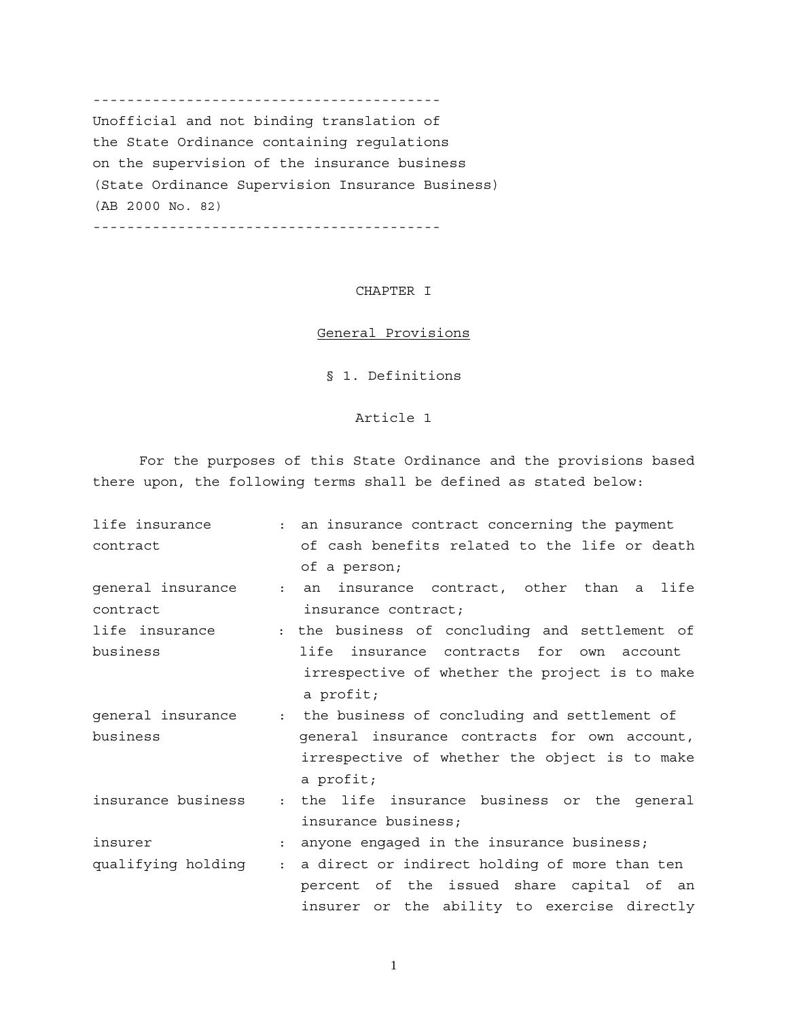----------------------------------------- Unofficial and not binding translation of the State Ordinance containing regulations on the supervision of the insurance business (State Ordinance Supervision Insurance Business) (AB 2000 No. 82)

-----------------------------------------

## CHAPTER I

#### General Provisions

§ 1. Definitions

## Article 1

For the purposes of this State Ordinance and the provisions based there upon, the following terms shall be defined as stated below:

| life insurance     |                      | : an insurance contract concerning the payment   |
|--------------------|----------------------|--------------------------------------------------|
| contract           |                      | of cash benefits related to the life or death    |
|                    |                      | of a person;                                     |
| general insurance  |                      | insurance contract, other than a<br>life<br>: an |
| contract           |                      | insurance contract;                              |
| life insurance     |                      | : the business of concluding and settlement of   |
| business           |                      | life<br>insurance contracts for own account      |
|                    |                      | irrespective of whether the project is to make   |
|                    |                      | a profit;                                        |
| general insurance  |                      | : the business of concluding and settlement of   |
| business           |                      | general insurance contracts for own account,     |
|                    |                      | irrespective of whether the object is to make    |
|                    |                      | a profit;                                        |
| insurance business | $\mathbf{r}$         | the life insurance business or the general       |
|                    |                      | insurance business;                              |
| insurer            | $\ddot{\phantom{a}}$ | anyone engaged in the insurance business;        |
| qualifying holding | $\mathbf{L}$         | a direct or indirect holding of more than ten    |
|                    |                      | percent of the issued share capital of an        |
|                    |                      | insurer or the ability to exercise directly      |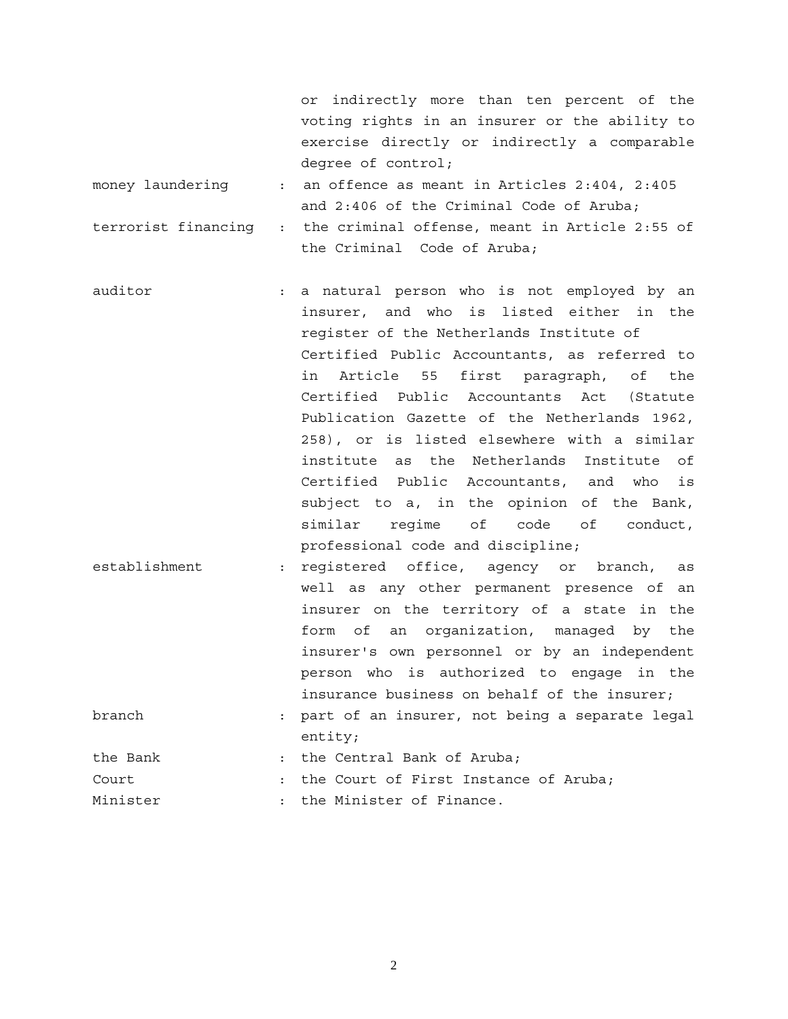or indirectly more than ten percent of the voting rights in an insurer or the ability to exercise directly or indirectly a comparable degree of control;

- money laundering : an offence as meant in Articles 2:404, 2:405 and 2:406 of the Criminal Code of Aruba;
- terrorist financing : the criminal offense, meant in Article 2:55 of the Criminal Code of Aruba;
- auditor : a natural person who is not employed by an insurer, and who is listed either in the register of the Netherlands Institute of Certified Public Accountants, as referred to in Article 55 first paragraph, of the Certified Public Accountants Act (Statute Publication Gazette of the Netherlands 1962, 258), or is listed elsewhere with a similar institute as the Netherlands Institute of Certified Public Accountants, and who is subject to a, in the opinion of the Bank, similar regime of code of conduct, professional code and discipline;
- establishment : registered office, agency or branch, as well as any other permanent presence of an insurer on the territory of a state in the form of an organization, managed by the insurer's own personnel or by an independent person who is authorized to engage in the insurance business on behalf of the insurer;
- branch : part of an insurer, not being a separate legal entity;
- the Bank : the Central Bank of Aruba;
- Court : the Court of First Instance of Aruba;
- Minister  $\cdots$  : the Minister of Finance.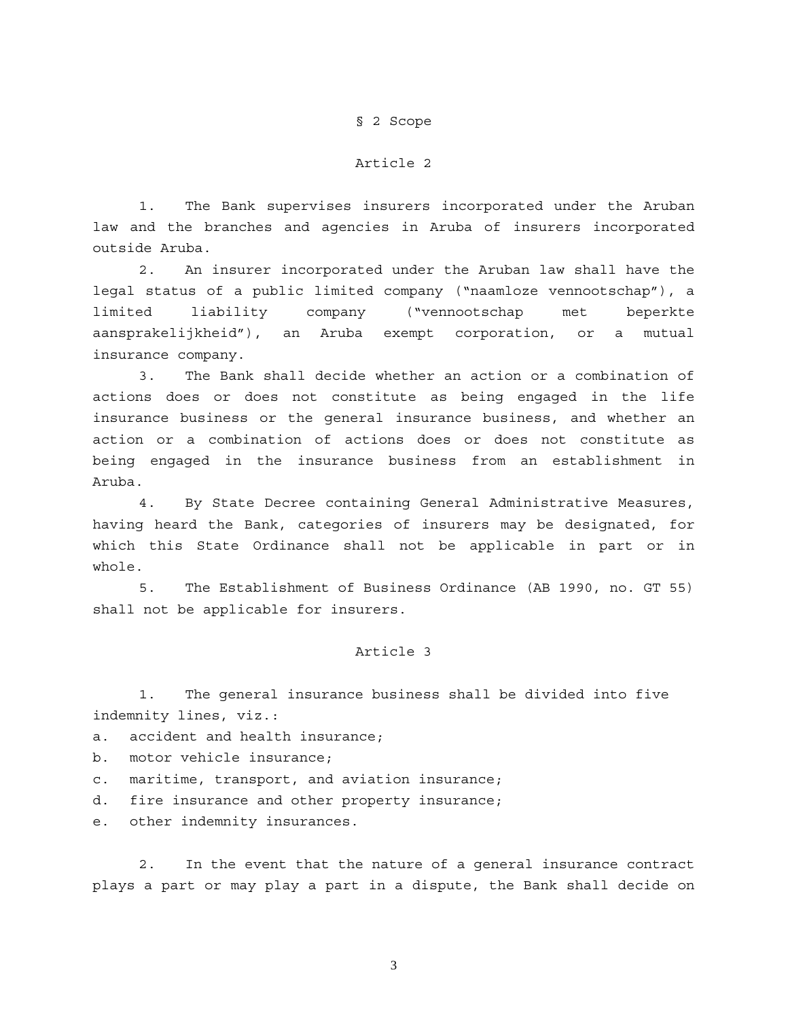#### § 2 Scope

#### Article 2

 1. The Bank supervises insurers incorporated under the Aruban law and the branches and agencies in Aruba of insurers incorporated outside Aruba.

2. An insurer incorporated under the Aruban law shall have the legal status of a public limited company ("naamloze vennootschap"), a limited liability company ("vennootschap met beperkte aansprakelijkheid"), an Aruba exempt corporation, or a mutual insurance company.

3. The Bank shall decide whether an action or a combination of actions does or does not constitute as being engaged in the life insurance business or the general insurance business, and whether an action or a combination of actions does or does not constitute as being engaged in the insurance business from an establishment in Aruba.

4. By State Decree containing General Administrative Measures, having heard the Bank, categories of insurers may be designated, for which this State Ordinance shall not be applicable in part or in whole.

5. The Establishment of Business Ordinance (AB 1990, no. GT 55) shall not be applicable for insurers.

#### Article 3

1. The general insurance business shall be divided into five indemnity lines, viz.:

- a. accident and health insurance;
- b. motor vehicle insurance;
- c. maritime, transport, and aviation insurance;
- d. fire insurance and other property insurance;
- e. other indemnity insurances.

2. In the event that the nature of a general insurance contract plays a part or may play a part in a dispute, the Bank shall decide on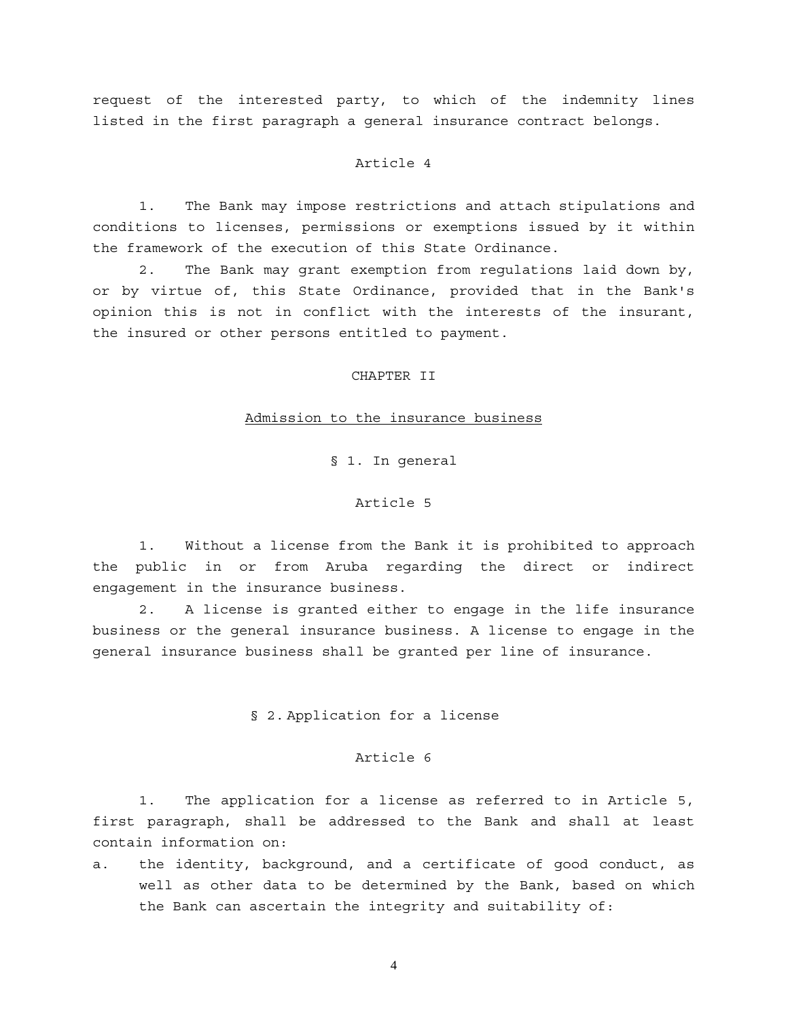request of the interested party, to which of the indemnity lines listed in the first paragraph a general insurance contract belongs.

### Article 4

1. The Bank may impose restrictions and attach stipulations and conditions to licenses, permissions or exemptions issued by it within the framework of the execution of this State Ordinance.

2. The Bank may grant exemption from regulations laid down by, or by virtue of, this State Ordinance, provided that in the Bank's opinion this is not in conflict with the interests of the insurant, the insured or other persons entitled to payment.

### CHAPTER II

#### Admission to the insurance business

§ 1. In general

## Article 5

1. Without a license from the Bank it is prohibited to approach the public in or from Aruba regarding the direct or indirect engagement in the insurance business.

2. A license is granted either to engage in the life insurance business or the general insurance business. A license to engage in the general insurance business shall be granted per line of insurance.

#### § 2. Application for a license

### Article 6

1. The application for a license as referred to in Article 5, first paragraph, shall be addressed to the Bank and shall at least contain information on:

a. the identity, background, and a certificate of good conduct, as well as other data to be determined by the Bank, based on which the Bank can ascertain the integrity and suitability of: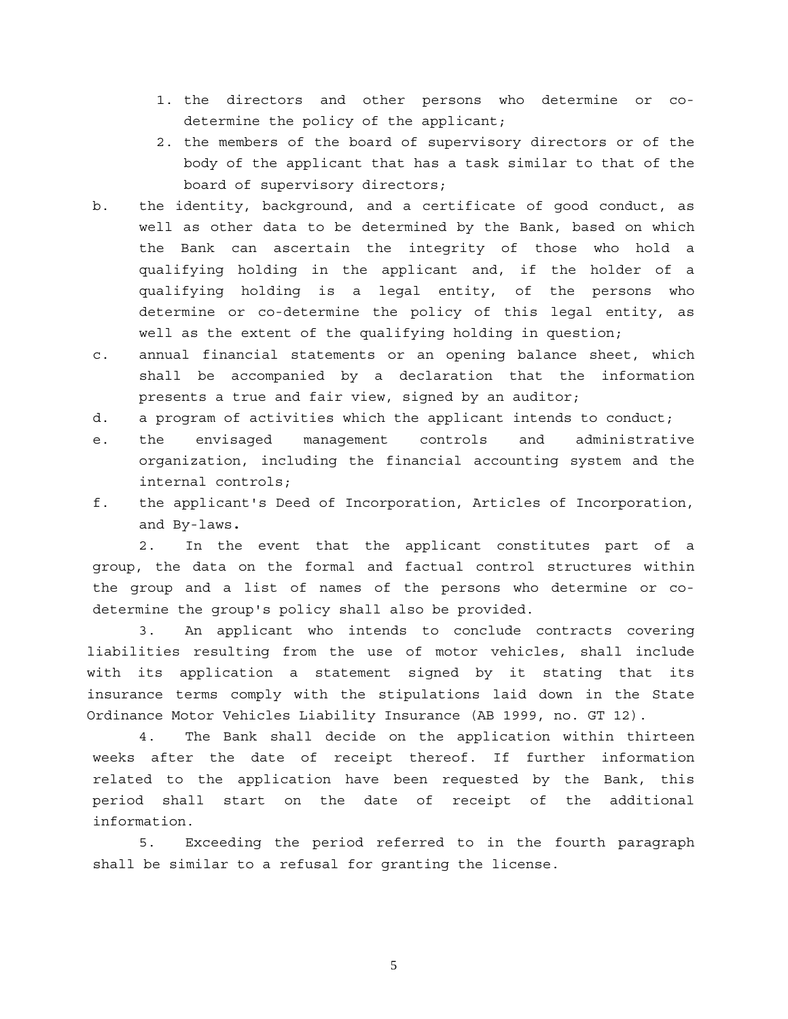- 1. the directors and other persons who determine or codetermine the policy of the applicant;
- 2. the members of the board of supervisory directors or of the body of the applicant that has a task similar to that of the board of supervisory directors;
- b. the identity, background, and a certificate of good conduct, as well as other data to be determined by the Bank, based on which the Bank can ascertain the integrity of those who hold a qualifying holding in the applicant and, if the holder of a qualifying holding is a legal entity, of the persons who determine or co-determine the policy of this legal entity, as well as the extent of the qualifying holding in question;
- c. annual financial statements or an opening balance sheet, which shall be accompanied by a declaration that the information presents a true and fair view, signed by an auditor;
- d. a program of activities which the applicant intends to conduct;
- e. the envisaged management controls and administrative organization, including the financial accounting system and the internal controls;
- f. the applicant's Deed of Incorporation, Articles of Incorporation, and By-laws**.**

2. In the event that the applicant constitutes part of a group, the data on the formal and factual control structures within the group and a list of names of the persons who determine or codetermine the group's policy shall also be provided.

 3. An applicant who intends to conclude contracts covering liabilities resulting from the use of motor vehicles, shall include with its application a statement signed by it stating that its insurance terms comply with the stipulations laid down in the State Ordinance Motor Vehicles Liability Insurance (AB 1999, no. GT 12).

4. The Bank shall decide on the application within thirteen weeks after the date of receipt thereof. If further information related to the application have been requested by the Bank, this period shall start on the date of receipt of the additional information.

5. Exceeding the period referred to in the fourth paragraph shall be similar to a refusal for granting the license.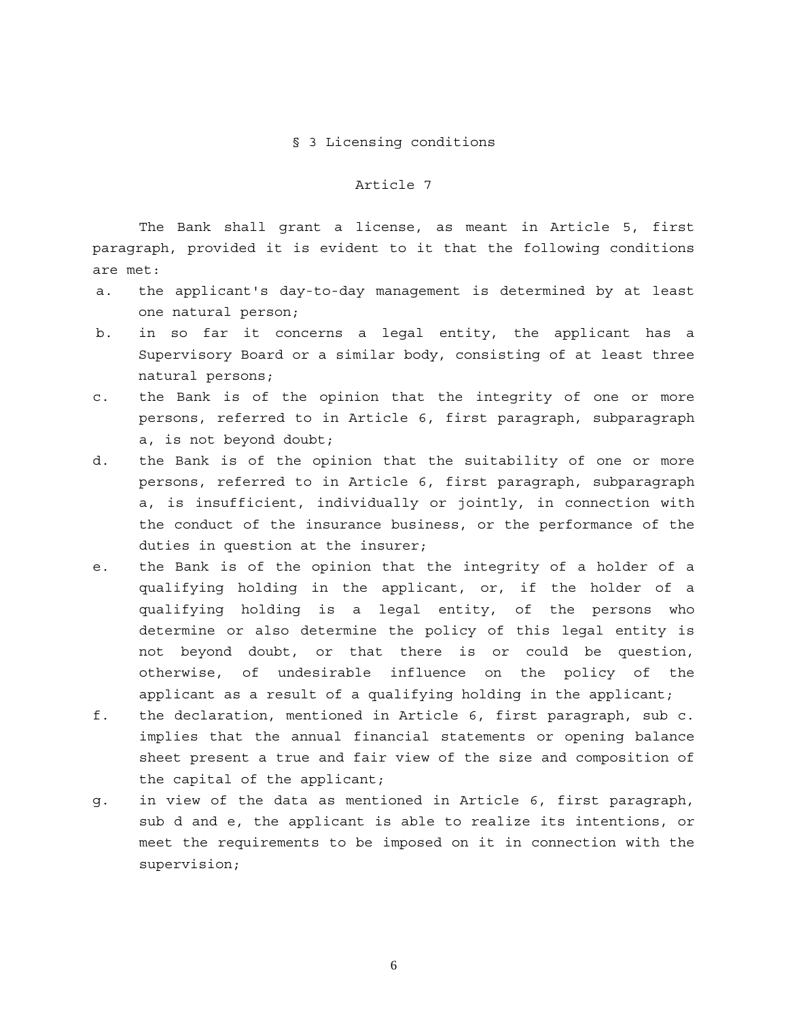#### § 3 Licensing conditions

### Article 7

The Bank shall grant a license, as meant in Article 5, first paragraph, provided it is evident to it that the following conditions are met:

- a. the applicant's day-to-day management is determined by at least one natural person;
- b. in so far it concerns a legal entity, the applicant has a Supervisory Board or a similar body, consisting of at least three natural persons;
- c. the Bank is of the opinion that the integrity of one or more persons, referred to in Article 6, first paragraph, subparagraph a, is not beyond doubt;
- d. the Bank is of the opinion that the suitability of one or more persons, referred to in Article 6, first paragraph, subparagraph a, is insufficient, individually or jointly, in connection with the conduct of the insurance business, or the performance of the duties in question at the insurer;
- e. the Bank is of the opinion that the integrity of a holder of a qualifying holding in the applicant, or, if the holder of a qualifying holding is a legal entity, of the persons who determine or also determine the policy of this legal entity is not beyond doubt, or that there is or could be question, otherwise, of undesirable influence on the policy of the applicant as a result of a qualifying holding in the applicant;
- f. the declaration, mentioned in Article 6, first paragraph, sub c. implies that the annual financial statements or opening balance sheet present a true and fair view of the size and composition of the capital of the applicant;
- g. in view of the data as mentioned in Article 6, first paragraph, sub d and e, the applicant is able to realize its intentions, or meet the requirements to be imposed on it in connection with the supervision;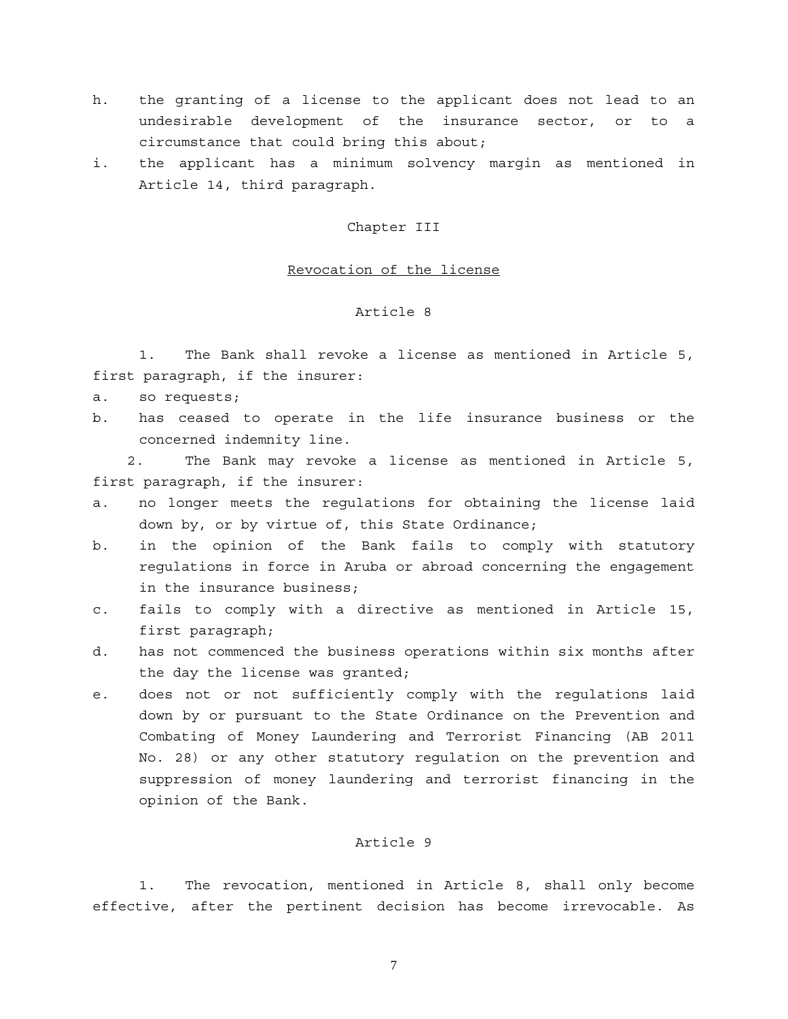- h. the granting of a license to the applicant does not lead to an undesirable development of the insurance sector, or to a circumstance that could bring this about;
- i. the applicant has a minimum solvency margin as mentioned in Article 14, third paragraph.

Chapter III

#### Revocation of the license

#### Article 8

1. The Bank shall revoke a license as mentioned in Article 5, first paragraph, if the insurer:

- a. so requests;
- b. has ceased to operate in the life insurance business or the concerned indemnity line.

 2. The Bank may revoke a license as mentioned in Article 5, first paragraph, if the insurer:

- a. no longer meets the regulations for obtaining the license laid down by, or by virtue of, this State Ordinance;
- b. in the opinion of the Bank fails to comply with statutory regulations in force in Aruba or abroad concerning the engagement in the insurance business;
- c. fails to comply with a directive as mentioned in Article 15, first paragraph;
- d. has not commenced the business operations within six months after the day the license was granted;
- e. does not or not sufficiently comply with the regulations laid down by or pursuant to the State Ordinance on the Prevention and Combating of Money Laundering and Terrorist Financing (AB 2011 No. 28) or any other statutory regulation on the prevention and suppression of money laundering and terrorist financing in the opinion of the Bank.

### Article 9

1. The revocation, mentioned in Article 8, shall only become effective, after the pertinent decision has become irrevocable. As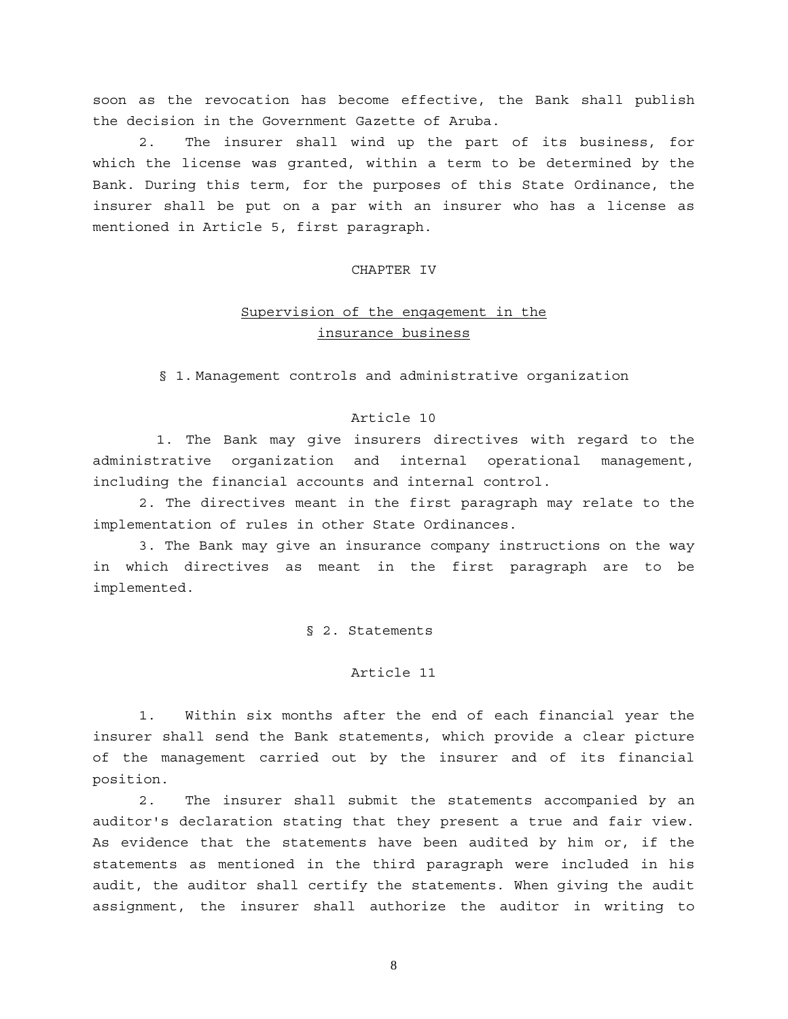soon as the revocation has become effective, the Bank shall publish the decision in the Government Gazette of Aruba.

2. The insurer shall wind up the part of its business, for which the license was granted, within a term to be determined by the Bank. During this term, for the purposes of this State Ordinance, the insurer shall be put on a par with an insurer who has a license as mentioned in Article 5, first paragraph.

### CHAPTER IV

# Supervision of the engagement in the insurance business

§ 1. Management controls and administrative organization

### Article 10

 1. The Bank may give insurers directives with regard to the administrative organization and internal operational management, including the financial accounts and internal control.

 2. The directives meant in the first paragraph may relate to the implementation of rules in other State Ordinances.

 3. The Bank may give an insurance company instructions on the way in which directives as meant in the first paragraph are to be implemented.

§ 2. Statements

#### Article 11

1. Within six months after the end of each financial year the insurer shall send the Bank statements, which provide a clear picture of the management carried out by the insurer and of its financial position.

 2. The insurer shall submit the statements accompanied by an auditor's declaration stating that they present a true and fair view. As evidence that the statements have been audited by him or, if the statements as mentioned in the third paragraph were included in his audit, the auditor shall certify the statements. When giving the audit assignment, the insurer shall authorize the auditor in writing to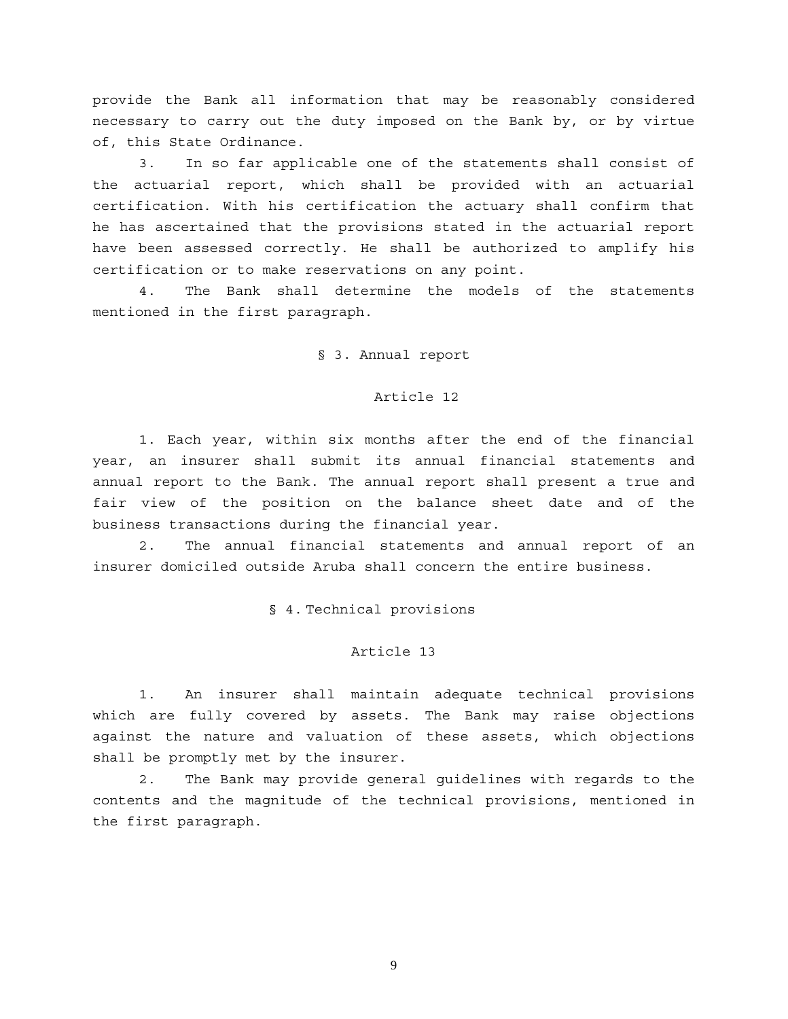provide the Bank all information that may be reasonably considered necessary to carry out the duty imposed on the Bank by, or by virtue of, this State Ordinance.

3. In so far applicable one of the statements shall consist of the actuarial report, which shall be provided with an actuarial certification. With his certification the actuary shall confirm that he has ascertained that the provisions stated in the actuarial report have been assessed correctly. He shall be authorized to amplify his certification or to make reservations on any point.

 4. The Bank shall determine the models of the statements mentioned in the first paragraph.

§ 3. Annual report

#### Article 12

 1. Each year, within six months after the end of the financial year, an insurer shall submit its annual financial statements and annual report to the Bank. The annual report shall present a true and fair view of the position on the balance sheet date and of the business transactions during the financial year.

 2. The annual financial statements and annual report of an insurer domiciled outside Aruba shall concern the entire business.

§ 4. Technical provisions

#### Article 13

1. An insurer shall maintain adequate technical provisions which are fully covered by assets. The Bank may raise objections against the nature and valuation of these assets, which objections shall be promptly met by the insurer.

2. The Bank may provide general guidelines with regards to the contents and the magnitude of the technical provisions, mentioned in the first paragraph.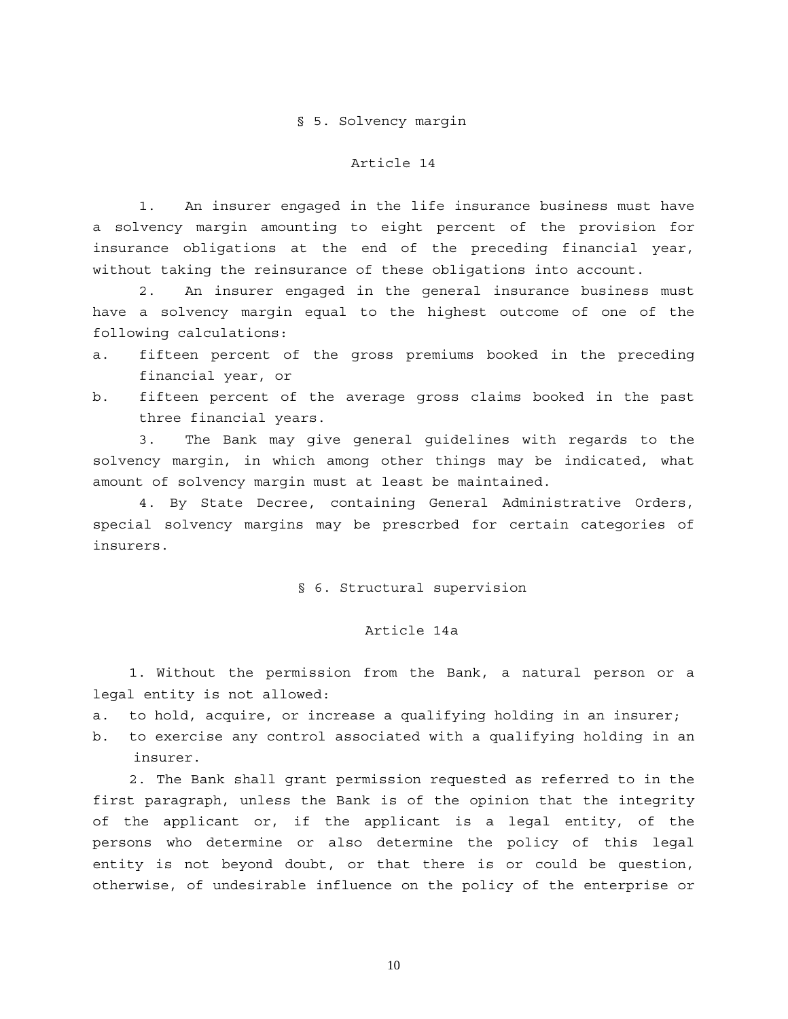#### § 5. Solvency margin

#### Article 14

1. An insurer engaged in the life insurance business must have a solvency margin amounting to eight percent of the provision for insurance obligations at the end of the preceding financial year, without taking the reinsurance of these obligations into account.

2. An insurer engaged in the general insurance business must have a solvency margin equal to the highest outcome of one of the following calculations:

- a. fifteen percent of the gross premiums booked in the preceding financial year, or
- b. fifteen percent of the average gross claims booked in the past three financial years.

3. The Bank may give general guidelines with regards to the solvency margin, in which among other things may be indicated, what amount of solvency margin must at least be maintained.

4. By State Decree, containing General Administrative Orders, special solvency margins may be prescrbed for certain categories of insurers.

#### § 6. Structural supervision

### Article 14a

1. Without the permission from the Bank, a natural person or a legal entity is not allowed:

a. to hold, acquire, or increase a qualifying holding in an insurer;

b. to exercise any control associated with a qualifying holding in an insurer.

2. The Bank shall grant permission requested as referred to in the first paragraph, unless the Bank is of the opinion that the integrity of the applicant or, if the applicant is a legal entity, of the persons who determine or also determine the policy of this legal entity is not beyond doubt, or that there is or could be question, otherwise, of undesirable influence on the policy of the enterprise or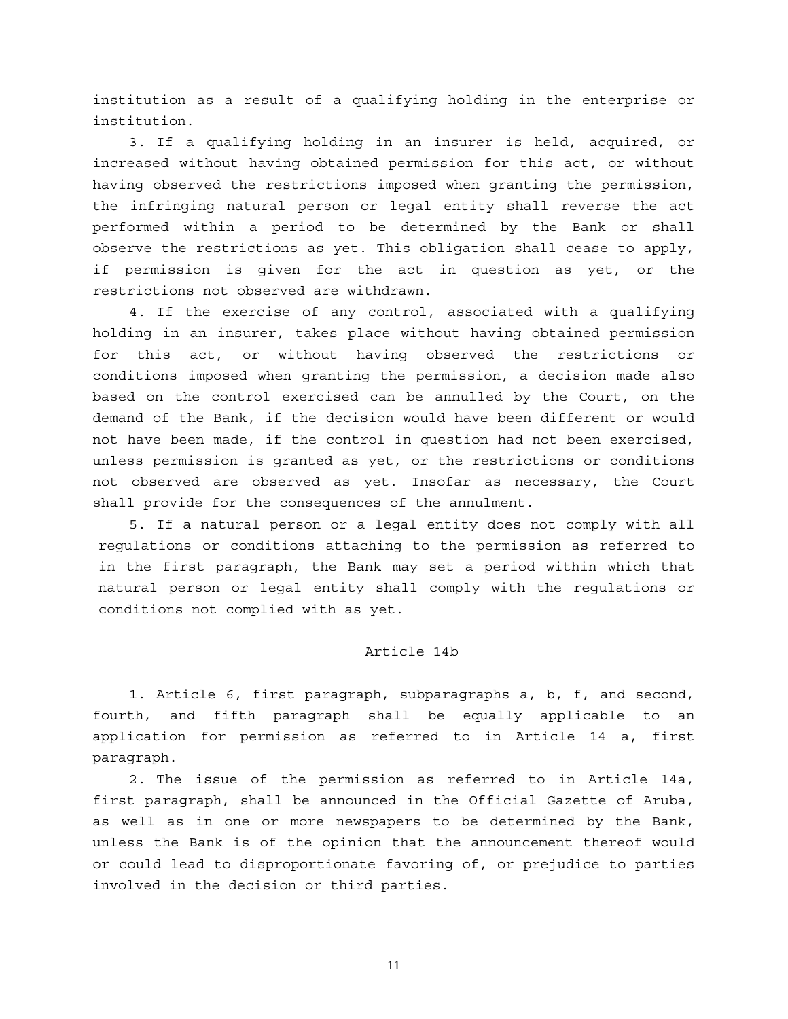institution as a result of a qualifying holding in the enterprise or institution.

3. If a qualifying holding in an insurer is held, acquired, or increased without having obtained permission for this act, or without having observed the restrictions imposed when granting the permission, the infringing natural person or legal entity shall reverse the act performed within a period to be determined by the Bank or shall observe the restrictions as yet. This obligation shall cease to apply, if permission is given for the act in question as yet, or the restrictions not observed are withdrawn.

4. If the exercise of any control, associated with a qualifying holding in an insurer, takes place without having obtained permission for this act, or without having observed the restrictions or conditions imposed when granting the permission, a decision made also based on the control exercised can be annulled by the Court, on the demand of the Bank, if the decision would have been different or would not have been made, if the control in question had not been exercised, unless permission is granted as yet, or the restrictions or conditions not observed are observed as yet. Insofar as necessary, the Court shall provide for the consequences of the annulment.

5. If a natural person or a legal entity does not comply with all regulations or conditions attaching to the permission as referred to in the first paragraph, the Bank may set a period within which that natural person or legal entity shall comply with the regulations or conditions not complied with as yet.

## Article 14b

1. Article 6, first paragraph, subparagraphs a, b, f, and second, fourth, and fifth paragraph shall be equally applicable to an application for permission as referred to in Article 14 a, first paragraph.

2. The issue of the permission as referred to in Article 14a, first paragraph, shall be announced in the Official Gazette of Aruba, as well as in one or more newspapers to be determined by the Bank, unless the Bank is of the opinion that the announcement thereof would or could lead to disproportionate favoring of, or prejudice to parties involved in the decision or third parties.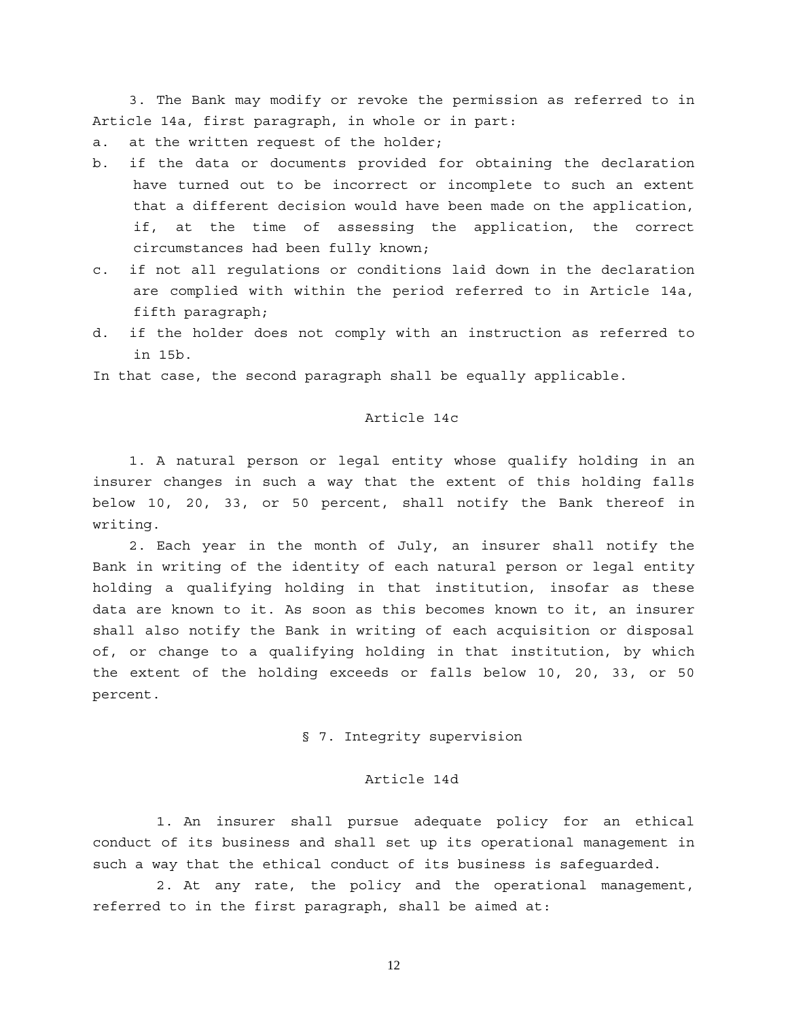3. The Bank may modify or revoke the permission as referred to in Article 14a, first paragraph, in whole or in part:

a. at the written request of the holder;

- b. if the data or documents provided for obtaining the declaration have turned out to be incorrect or incomplete to such an extent that a different decision would have been made on the application, if, at the time of assessing the application, the correct circumstances had been fully known;
- c. if not all regulations or conditions laid down in the declaration are complied with within the period referred to in Article 14a, fifth paragraph;
- d. if the holder does not comply with an instruction as referred to in 15b.

In that case, the second paragraph shall be equally applicable.

#### Article 14c

1. A natural person or legal entity whose qualify holding in an insurer changes in such a way that the extent of this holding falls below 10, 20, 33, or 50 percent, shall notify the Bank thereof in writing.

2. Each year in the month of July, an insurer shall notify the Bank in writing of the identity of each natural person or legal entity holding a qualifying holding in that institution, insofar as these data are known to it. As soon as this becomes known to it, an insurer shall also notify the Bank in writing of each acquisition or disposal of, or change to a qualifying holding in that institution, by which the extent of the holding exceeds or falls below 10, 20, 33, or 50 percent.

### § 7. Integrity supervision

### Article 14d

 1. An insurer shall pursue adequate policy for an ethical conduct of its business and shall set up its operational management in such a way that the ethical conduct of its business is safeguarded.

 2. At any rate, the policy and the operational management, referred to in the first paragraph, shall be aimed at: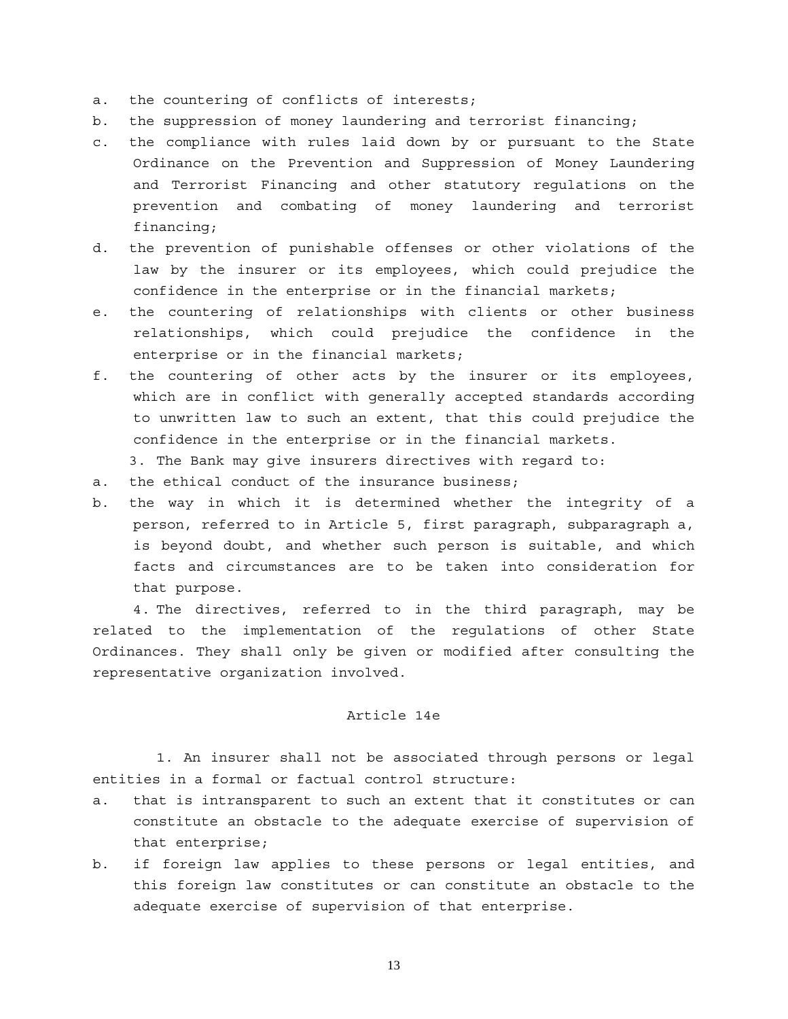- a. the countering of conflicts of interests;
- b. the suppression of money laundering and terrorist financing;
- c. the compliance with rules laid down by or pursuant to the State Ordinance on the Prevention and Suppression of Money Laundering and Terrorist Financing and other statutory regulations on the prevention and combating of money laundering and terrorist financing;
- d. the prevention of punishable offenses or other violations of the law by the insurer or its employees, which could prejudice the confidence in the enterprise or in the financial markets;
- e. the countering of relationships with clients or other business relationships, which could prejudice the confidence in the enterprise or in the financial markets;
- f. the countering of other acts by the insurer or its employees, which are in conflict with generally accepted standards according to unwritten law to such an extent, that this could prejudice the confidence in the enterprise or in the financial markets.
	- 3. The Bank may give insurers directives with regard to:
- a. the ethical conduct of the insurance business;
- b. the way in which it is determined whether the integrity of a person, referred to in Article 5, first paragraph, subparagraph a, is beyond doubt, and whether such person is suitable, and which facts and circumstances are to be taken into consideration for that purpose.

 4. The directives, referred to in the third paragraph, may be related to the implementation of the regulations of other State Ordinances. They shall only be given or modified after consulting the representative organization involved.

## Article 14e

 1. An insurer shall not be associated through persons or legal entities in a formal or factual control structure:

- a. that is intransparent to such an extent that it constitutes or can constitute an obstacle to the adequate exercise of supervision of that enterprise;
- b. if foreign law applies to these persons or legal entities, and this foreign law constitutes or can constitute an obstacle to the adequate exercise of supervision of that enterprise.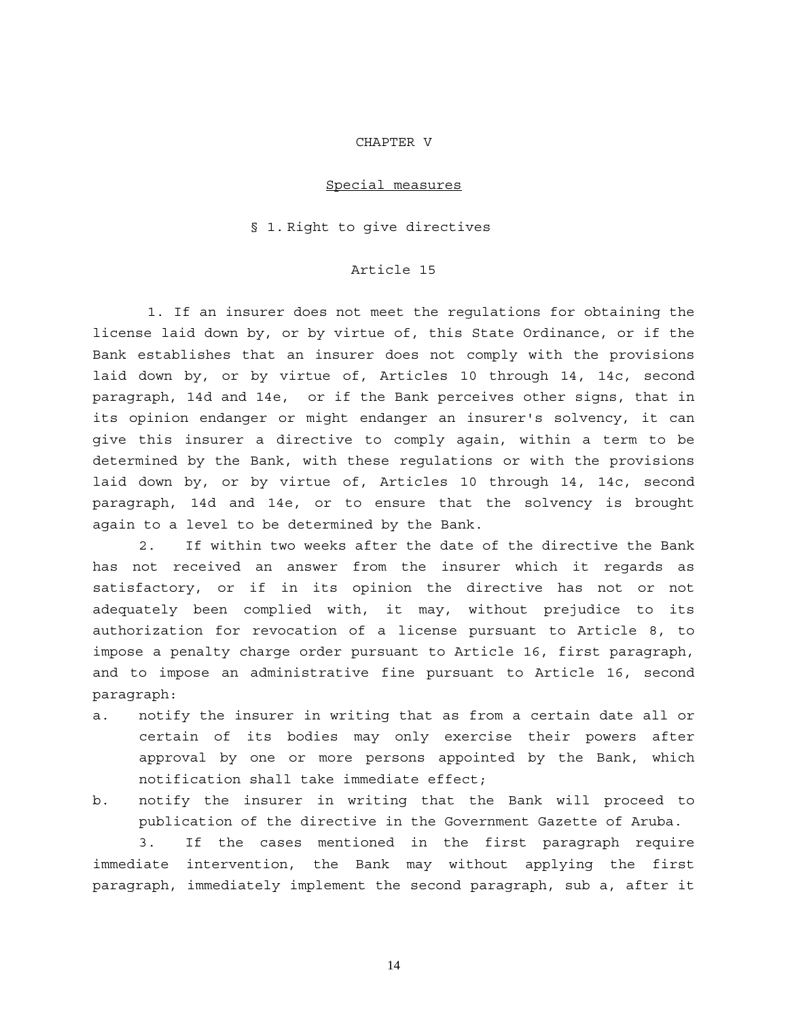#### CHAPTER V

#### Special measures

#### § 1. Right to give directives

## Article 15

 1. If an insurer does not meet the regulations for obtaining the license laid down by, or by virtue of, this State Ordinance, or if the Bank establishes that an insurer does not comply with the provisions laid down by, or by virtue of, Articles 10 through 14, 14c, second paragraph, 14d and 14e, or if the Bank perceives other signs, that in its opinion endanger or might endanger an insurer's solvency, it can give this insurer a directive to comply again, within a term to be determined by the Bank, with these regulations or with the provisions laid down by, or by virtue of, Articles 10 through 14, 14c, second paragraph, 14d and 14e, or to ensure that the solvency is brought again to a level to be determined by the Bank.

2. If within two weeks after the date of the directive the Bank has not received an answer from the insurer which it regards as satisfactory, or if in its opinion the directive has not or not adequately been complied with, it may, without prejudice to its authorization for revocation of a license pursuant to Article 8, to impose a penalty charge order pursuant to Article 16, first paragraph, and to impose an administrative fine pursuant to Article 16, second paragraph:

- a. notify the insurer in writing that as from a certain date all or certain of its bodies may only exercise their powers after approval by one or more persons appointed by the Bank, which notification shall take immediate effect;
- b. notify the insurer in writing that the Bank will proceed to publication of the directive in the Government Gazette of Aruba.

3. If the cases mentioned in the first paragraph require immediate intervention, the Bank may without applying the first paragraph, immediately implement the second paragraph, sub a, after it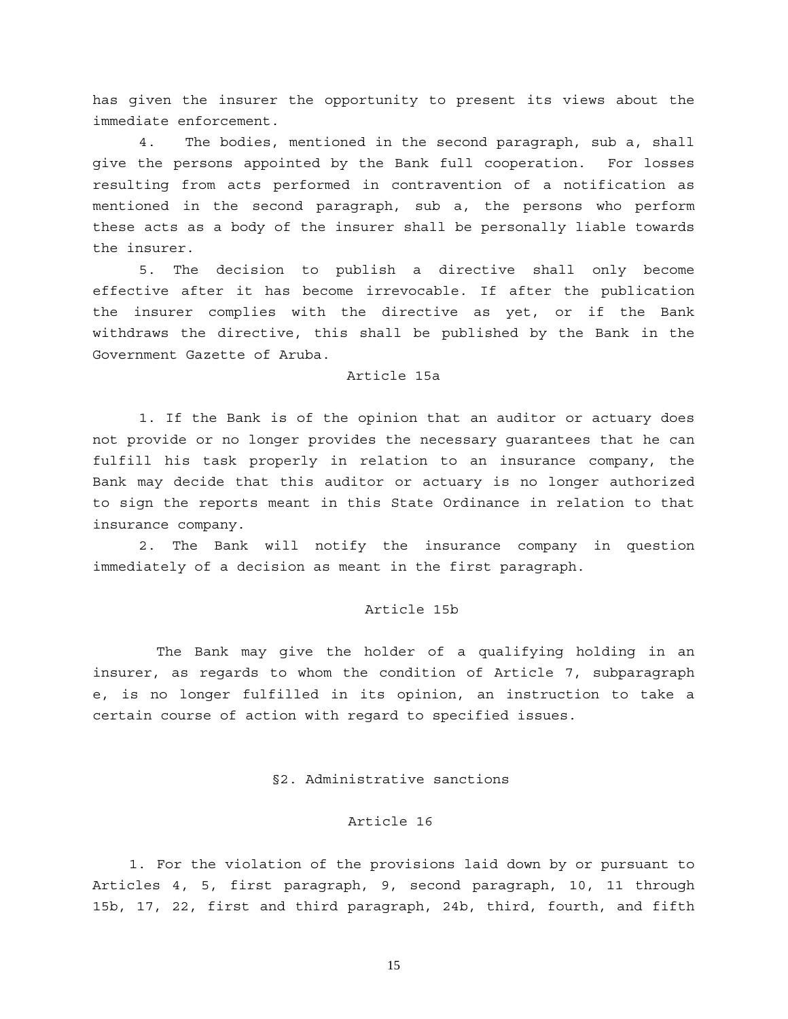has given the insurer the opportunity to present its views about the immediate enforcement.

4. The bodies, mentioned in the second paragraph, sub a, shall give the persons appointed by the Bank full cooperation. For losses resulting from acts performed in contravention of a notification as mentioned in the second paragraph, sub a, the persons who perform these acts as a body of the insurer shall be personally liable towards the insurer.

5. The decision to publish a directive shall only become effective after it has become irrevocable. If after the publication the insurer complies with the directive as yet, or if the Bank withdraws the directive, this shall be published by the Bank in the Government Gazette of Aruba.

### Article 15a

 1. If the Bank is of the opinion that an auditor or actuary does not provide or no longer provides the necessary guarantees that he can fulfill his task properly in relation to an insurance company, the Bank may decide that this auditor or actuary is no longer authorized to sign the reports meant in this State Ordinance in relation to that insurance company.

 2. The Bank will notify the insurance company in question immediately of a decision as meant in the first paragraph.

#### Article 15b

 The Bank may give the holder of a qualifying holding in an insurer, as regards to whom the condition of Article 7, subparagraph e, is no longer fulfilled in its opinion, an instruction to take a certain course of action with regard to specified issues.

#### §2. Administrative sanctions

#### Article 16

1. For the violation of the provisions laid down by or pursuant to Articles 4, 5, first paragraph, 9, second paragraph, 10, 11 through 15b, 17, 22, first and third paragraph, 24b, third, fourth, and fifth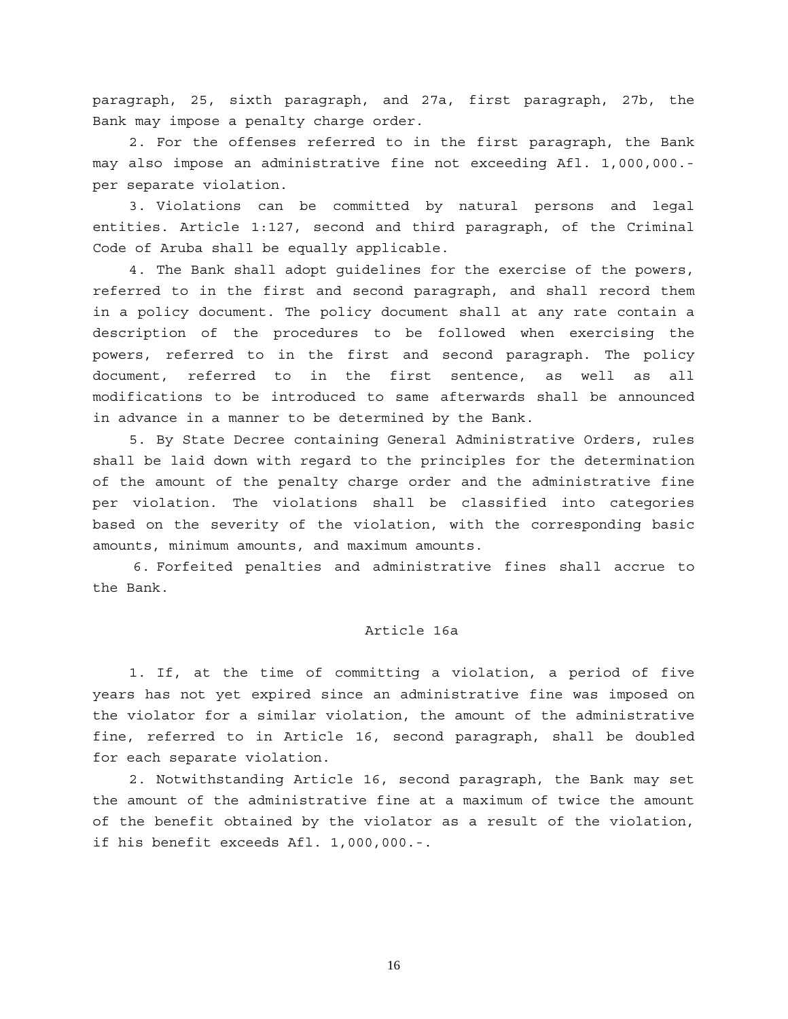paragraph, 25, sixth paragraph, and 27a, first paragraph, 27b, the Bank may impose a penalty charge order.

2. For the offenses referred to in the first paragraph, the Bank may also impose an administrative fine not exceeding Afl. 1,000,000. per separate violation.

3. Violations can be committed by natural persons and legal entities. Article 1:127, second and third paragraph, of the Criminal Code of Aruba shall be equally applicable.

4. The Bank shall adopt guidelines for the exercise of the powers, referred to in the first and second paragraph, and shall record them in a policy document. The policy document shall at any rate contain a description of the procedures to be followed when exercising the powers, referred to in the first and second paragraph. The policy document, referred to in the first sentence, as well as all modifications to be introduced to same afterwards shall be announced in advance in a manner to be determined by the Bank.

5. By State Decree containing General Administrative Orders, rules shall be laid down with regard to the principles for the determination of the amount of the penalty charge order and the administrative fine per violation. The violations shall be classified into categories based on the severity of the violation, with the corresponding basic amounts, minimum amounts, and maximum amounts.

 6. Forfeited penalties and administrative fines shall accrue to the Bank.

## Article 16a

1. If, at the time of committing a violation, a period of five years has not yet expired since an administrative fine was imposed on the violator for a similar violation, the amount of the administrative fine, referred to in Article 16, second paragraph, shall be doubled for each separate violation.

2. Notwithstanding Article 16, second paragraph, the Bank may set the amount of the administrative fine at a maximum of twice the amount of the benefit obtained by the violator as a result of the violation, if his benefit exceeds Afl. 1,000,000.-.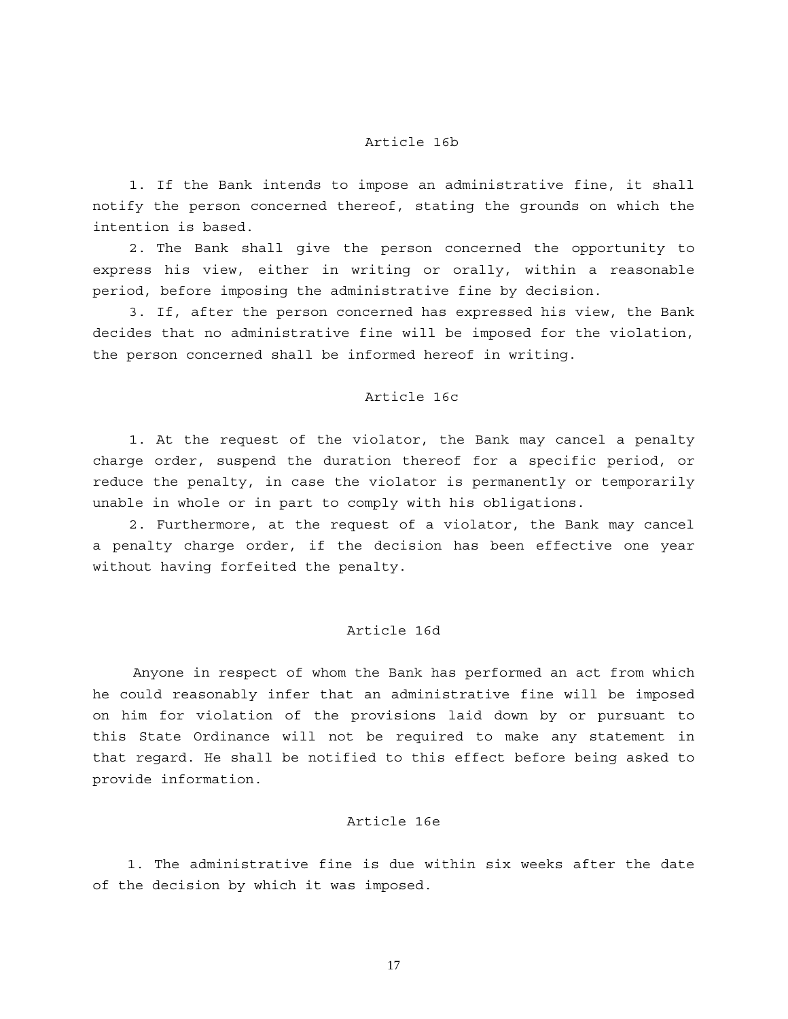### Article 16b

1. If the Bank intends to impose an administrative fine, it shall notify the person concerned thereof, stating the grounds on which the intention is based.

2. The Bank shall give the person concerned the opportunity to express his view, either in writing or orally, within a reasonable period, before imposing the administrative fine by decision.

3. If, after the person concerned has expressed his view, the Bank decides that no administrative fine will be imposed for the violation, the person concerned shall be informed hereof in writing.

#### Article 16c

1. At the request of the violator, the Bank may cancel a penalty charge order, suspend the duration thereof for a specific period, or reduce the penalty, in case the violator is permanently or temporarily unable in whole or in part to comply with his obligations.

2. Furthermore, at the request of a violator, the Bank may cancel a penalty charge order, if the decision has been effective one year without having forfeited the penalty.

#### Article 16d

 Anyone in respect of whom the Bank has performed an act from which he could reasonably infer that an administrative fine will be imposed on him for violation of the provisions laid down by or pursuant to this State Ordinance will not be required to make any statement in that regard. He shall be notified to this effect before being asked to provide information.

### Article 16e

1. The administrative fine is due within six weeks after the date of the decision by which it was imposed.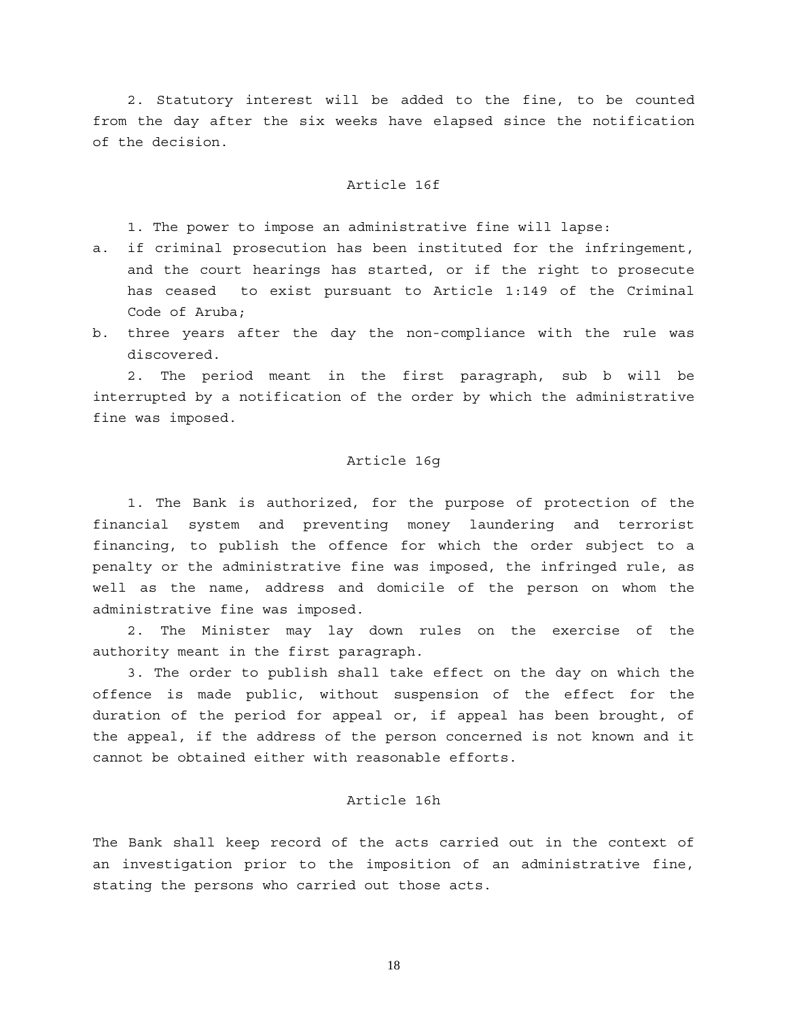2. Statutory interest will be added to the fine, to be counted from the day after the six weeks have elapsed since the notification of the decision.

#### Article 16f

1. The power to impose an administrative fine will lapse:

- a. if criminal prosecution has been instituted for the infringement, and the court hearings has started, or if the right to prosecute has ceased to exist pursuant to Article 1:149 of the Criminal Code of Aruba;
- b. three years after the day the non-compliance with the rule was discovered.

2. The period meant in the first paragraph, sub b will be interrupted by a notification of the order by which the administrative fine was imposed.

### Article 16g

 1. The Bank is authorized, for the purpose of protection of the financial system and preventing money laundering and terrorist financing, to publish the offence for which the order subject to a penalty or the administrative fine was imposed, the infringed rule, as well as the name, address and domicile of the person on whom the administrative fine was imposed.

 2. The Minister may lay down rules on the exercise of the authority meant in the first paragraph.

 3. The order to publish shall take effect on the day on which the offence is made public, without suspension of the effect for the duration of the period for appeal or, if appeal has been brought, of the appeal, if the address of the person concerned is not known and it cannot be obtained either with reasonable efforts.

## Article 16h

The Bank shall keep record of the acts carried out in the context of an investigation prior to the imposition of an administrative fine, stating the persons who carried out those acts.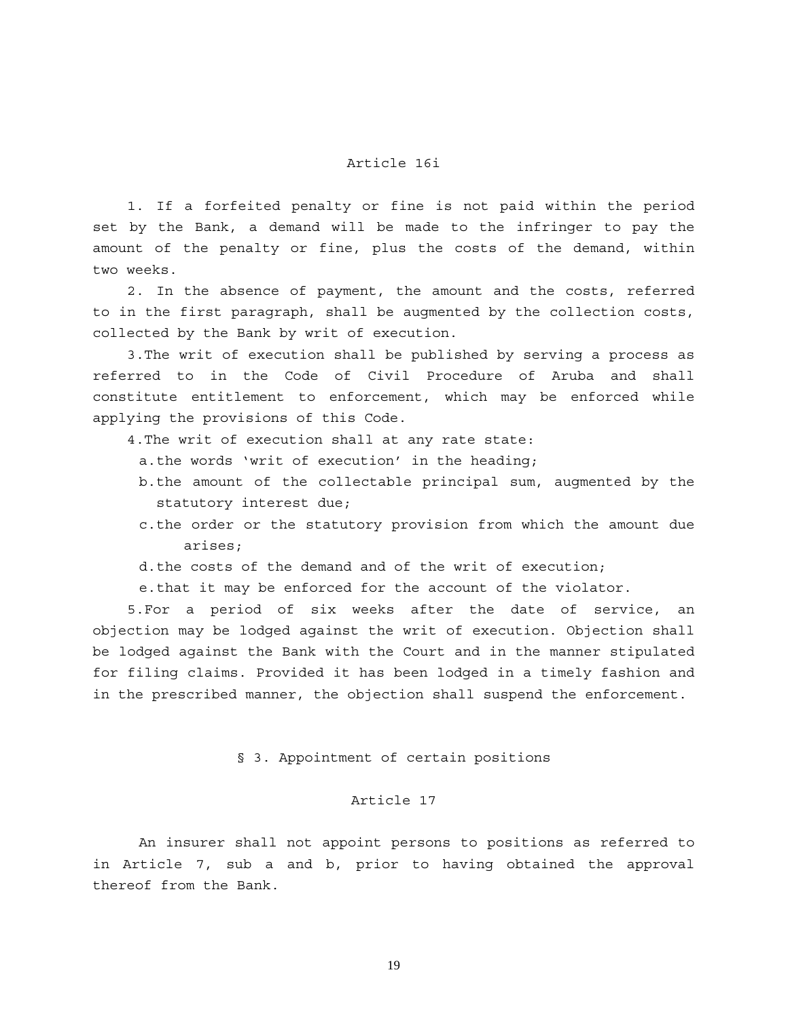### Article 16i

 1. If a forfeited penalty or fine is not paid within the period set by the Bank, a demand will be made to the infringer to pay the amount of the penalty or fine, plus the costs of the demand, within two weeks.

 2. In the absence of payment, the amount and the costs, referred to in the first paragraph, shall be augmented by the collection costs, collected by the Bank by writ of execution.

 3.The writ of execution shall be published by serving a process as referred to in the Code of Civil Procedure of Aruba and shall constitute entitlement to enforcement, which may be enforced while applying the provisions of this Code.

4.The writ of execution shall at any rate state:

a. the words 'writ of execution' in the heading;

- b. the amount of the collectable principal sum, augmented by the statutory interest due;
- c. the order or the statutory provision from which the amount due arises;

d. the costs of the demand and of the writ of execution;

e. that it may be enforced for the account of the violator.

 5.For a period of six weeks after the date of service, an objection may be lodged against the writ of execution. Objection shall be lodged against the Bank with the Court and in the manner stipulated for filing claims. Provided it has been lodged in a timely fashion and in the prescribed manner, the objection shall suspend the enforcement.

### § 3. Appointment of certain positions

## Article 17

 An insurer shall not appoint persons to positions as referred to in Article 7, sub a and b, prior to having obtained the approval thereof from the Bank.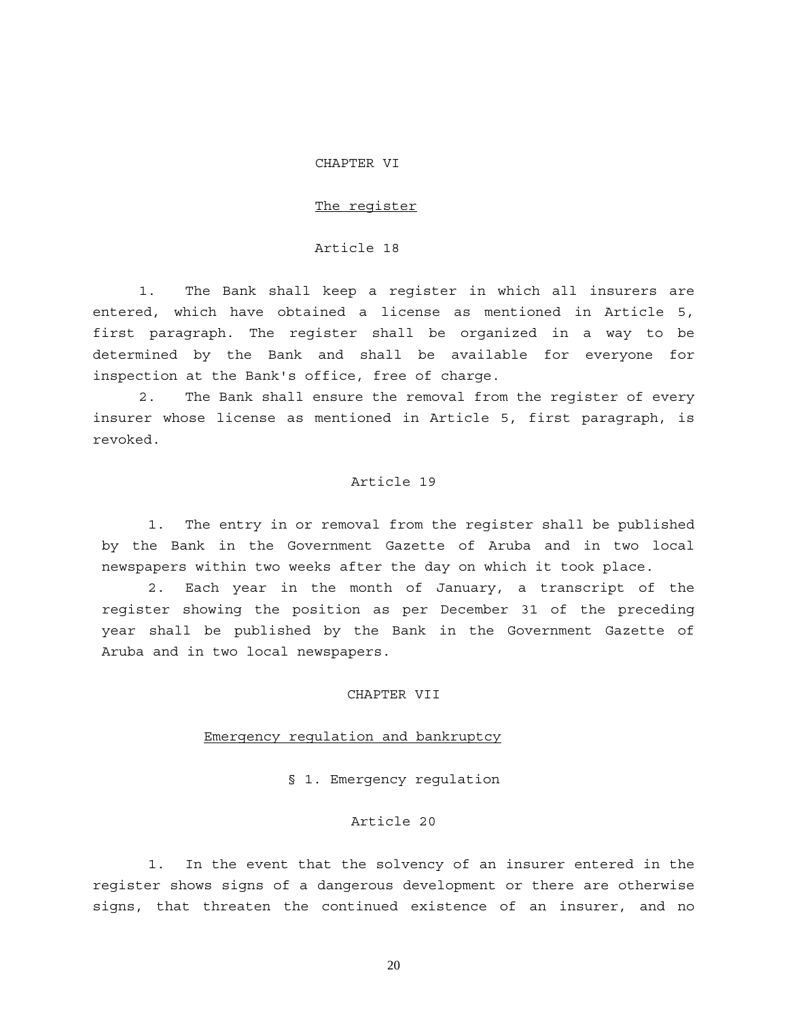#### CHAPTER VI

#### The register

#### Article 18

1. The Bank shall keep a register in which all insurers are entered, which have obtained a license as mentioned in Article 5, first paragraph. The register shall be organized in a way to be determined by the Bank and shall be available for everyone for inspection at the Bank's office, free of charge.

2. The Bank shall ensure the removal from the register of every insurer whose license as mentioned in Article 5, first paragraph, is revoked.

#### Article 19

 1. The entry in or removal from the register shall be published by the Bank in the Government Gazette of Aruba and in two local newspapers within two weeks after the day on which it took place.

2. Each year in the month of January, a transcript of the register showing the position as per December 31 of the preceding year shall be published by the Bank in the Government Gazette of Aruba and in two local newspapers.

## CHAPTER VII

#### Emergency regulation and bankruptcy

§ 1. Emergency regulation

#### Article 20

1. In the event that the solvency of an insurer entered in the register shows signs of a dangerous development or there are otherwise signs, that threaten the continued existence of an insurer, and no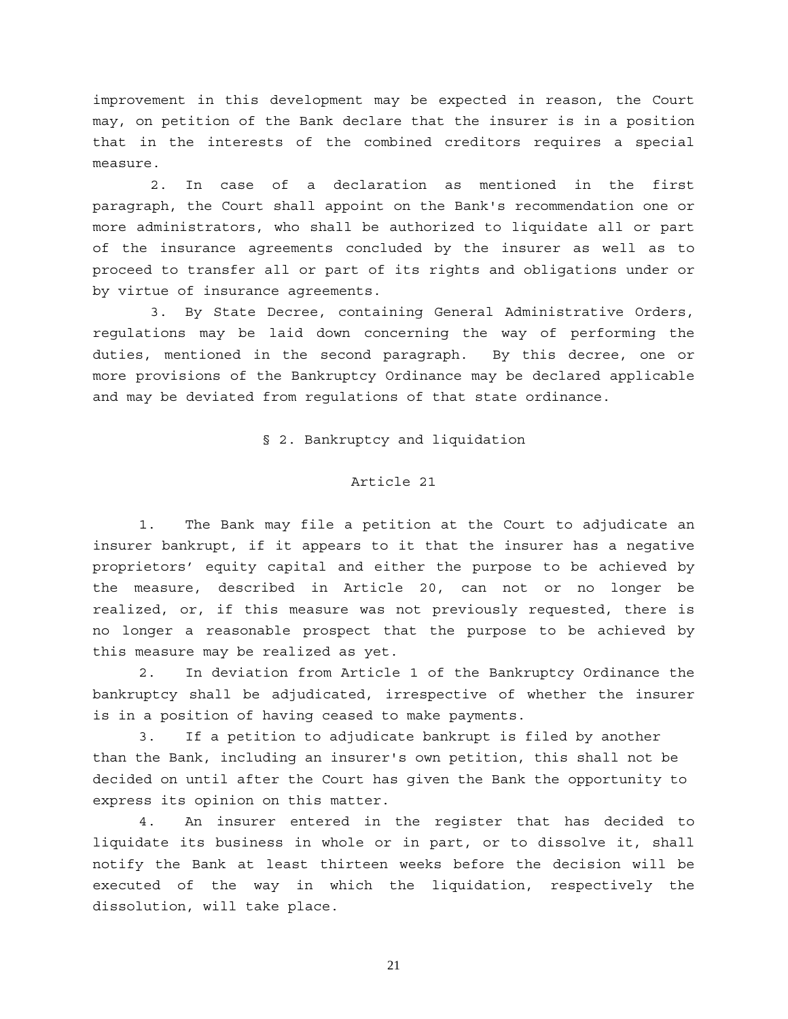improvement in this development may be expected in reason, the Court may, on petition of the Bank declare that the insurer is in a position that in the interests of the combined creditors requires a special measure.

 2. In case of a declaration as mentioned in the first paragraph, the Court shall appoint on the Bank's recommendation one or more administrators, who shall be authorized to liquidate all or part of the insurance agreements concluded by the insurer as well as to proceed to transfer all or part of its rights and obligations under or by virtue of insurance agreements.

3. By State Decree, containing General Administrative Orders, regulations may be laid down concerning the way of performing the duties, mentioned in the second paragraph. By this decree, one or more provisions of the Bankruptcy Ordinance may be declared applicable and may be deviated from regulations of that state ordinance.

§ 2. Bankruptcy and liquidation

#### Article 21

1. The Bank may file a petition at the Court to adjudicate an insurer bankrupt, if it appears to it that the insurer has a negative proprietors' equity capital and either the purpose to be achieved by the measure, described in Article 20, can not or no longer be realized, or, if this measure was not previously requested, there is no longer a reasonable prospect that the purpose to be achieved by this measure may be realized as yet.

2. In deviation from Article 1 of the Bankruptcy Ordinance the bankruptcy shall be adjudicated, irrespective of whether the insurer is in a position of having ceased to make payments.

3. If a petition to adjudicate bankrupt is filed by another than the Bank, including an insurer's own petition, this shall not be decided on until after the Court has given the Bank the opportunity to express its opinion on this matter.

4. An insurer entered in the register that has decided to liquidate its business in whole or in part, or to dissolve it, shall notify the Bank at least thirteen weeks before the decision will be executed of the way in which the liquidation, respectively the dissolution, will take place.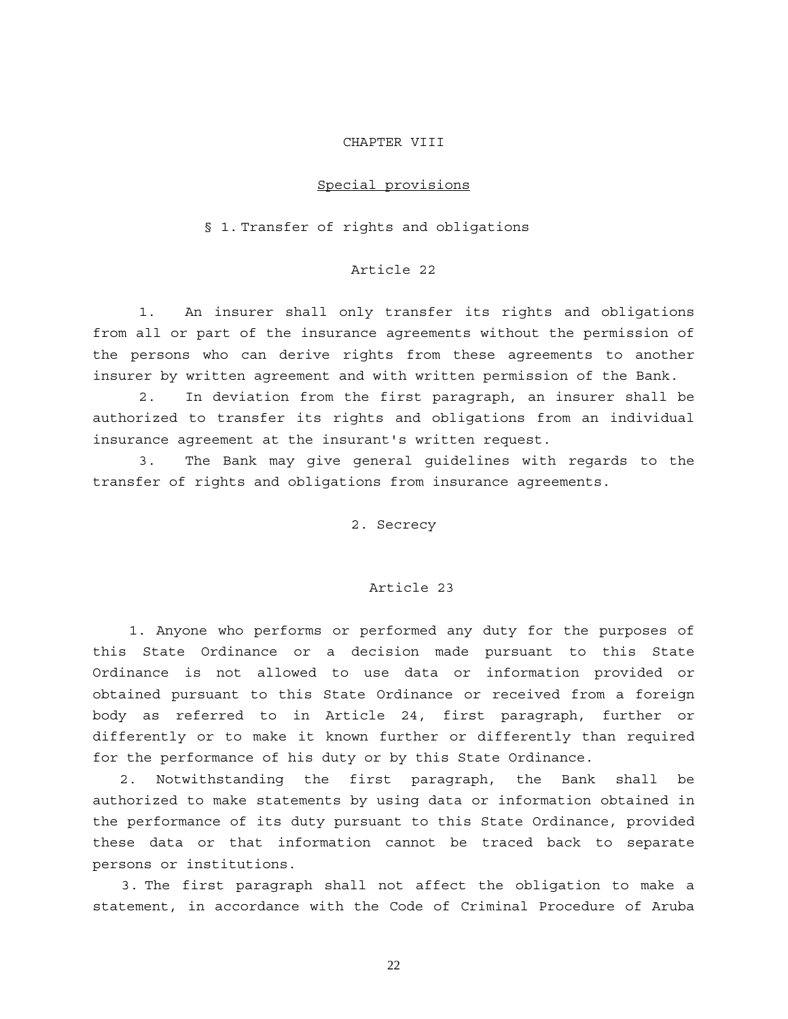#### CHAPTER VIII

#### Special provisions

#### § 1. Transfer of rights and obligations

### Article 22

1. An insurer shall only transfer its rights and obligations from all or part of the insurance agreements without the permission of the persons who can derive rights from these agreements to another insurer by written agreement and with written permission of the Bank.

2. In deviation from the first paragraph, an insurer shall be authorized to transfer its rights and obligations from an individual insurance agreement at the insurant's written request.

3. The Bank may give general guidelines with regards to the transfer of rights and obligations from insurance agreements.

2. Secrecy

#### Article 23

1. Anyone who performs or performed any duty for the purposes of this State Ordinance or a decision made pursuant to this State Ordinance is not allowed to use data or information provided or obtained pursuant to this State Ordinance or received from a foreign body as referred to in Article 24, first paragraph, further or differently or to make it known further or differently than required for the performance of his duty or by this State Ordinance.

 2. Notwithstanding the first paragraph, the Bank shall be authorized to make statements by using data or information obtained in the performance of its duty pursuant to this State Ordinance, provided these data or that information cannot be traced back to separate persons or institutions.

 3. The first paragraph shall not affect the obligation to make a statement, in accordance with the Code of Criminal Procedure of Aruba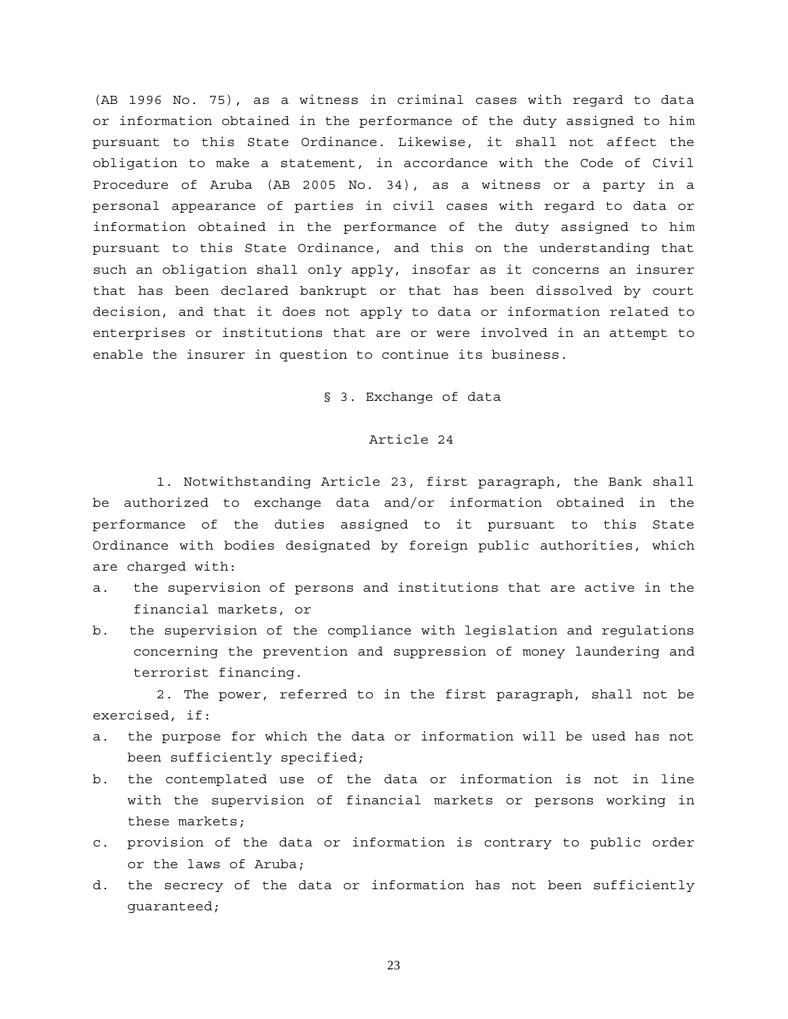(AB 1996 No. 75), as a witness in criminal cases with regard to data or information obtained in the performance of the duty assigned to him pursuant to this State Ordinance. Likewise, it shall not affect the obligation to make a statement, in accordance with the Code of Civil Procedure of Aruba (AB 2005 No. 34), as a witness or a party in a personal appearance of parties in civil cases with regard to data or information obtained in the performance of the duty assigned to him pursuant to this State Ordinance, and this on the understanding that such an obligation shall only apply, insofar as it concerns an insurer that has been declared bankrupt or that has been dissolved by court decision, and that it does not apply to data or information related to enterprises or institutions that are or were involved in an attempt to enable the insurer in question to continue its business.

§ 3. Exchange of data

## Article 24

 1. Notwithstanding Article 23, first paragraph, the Bank shall be authorized to exchange data and/or information obtained in the performance of the duties assigned to it pursuant to this State Ordinance with bodies designated by foreign public authorities, which are charged with:

- a. the supervision of persons and institutions that are active in the financial markets, or
- b. the supervision of the compliance with legislation and regulations concerning the prevention and suppression of money laundering and terrorist financing.

 2. The power, referred to in the first paragraph, shall not be exercised, if:

- a. the purpose for which the data or information will be used has not been sufficiently specified;
- b. the contemplated use of the data or information is not in line with the supervision of financial markets or persons working in these markets;
- c. provision of the data or information is contrary to public order or the laws of Aruba;
- d. the secrecy of the data or information has not been sufficiently guaranteed;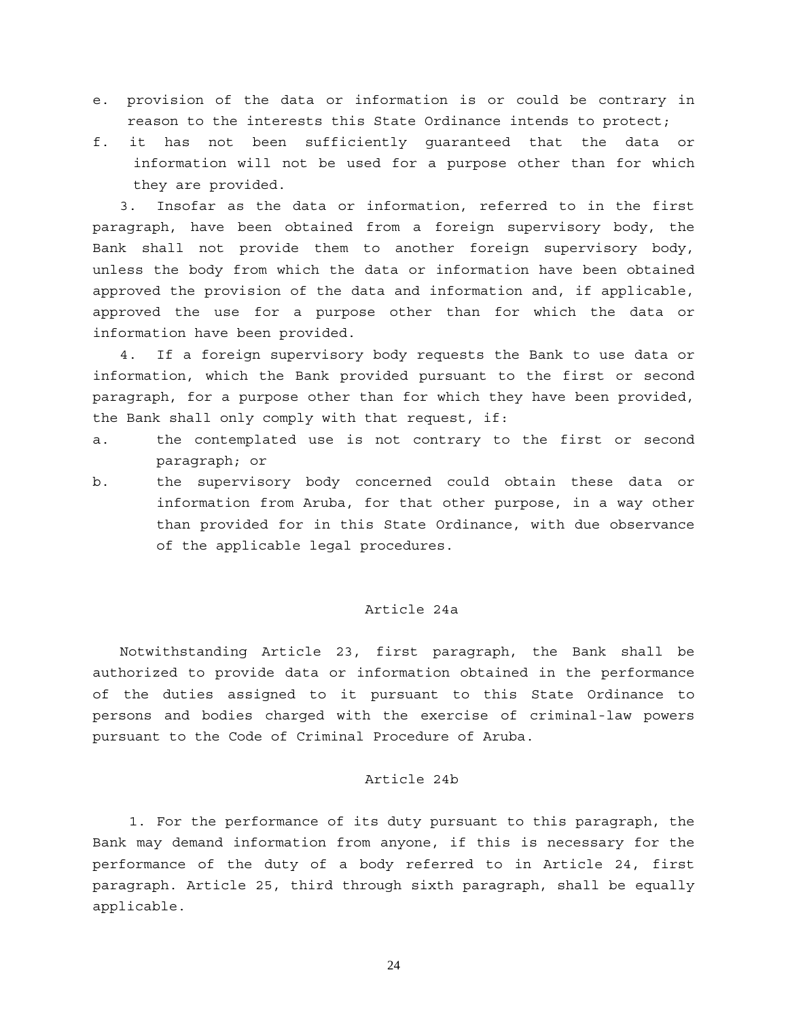- e. provision of the data or information is or could be contrary in reason to the interests this State Ordinance intends to protect;
- f. it has not been sufficiently guaranteed that the data or information will not be used for a purpose other than for which they are provided.

 3. Insofar as the data or information, referred to in the first paragraph, have been obtained from a foreign supervisory body, the Bank shall not provide them to another foreign supervisory body, unless the body from which the data or information have been obtained approved the provision of the data and information and, if applicable, approved the use for a purpose other than for which the data or information have been provided.

 4. If a foreign supervisory body requests the Bank to use data or information, which the Bank provided pursuant to the first or second paragraph, for a purpose other than for which they have been provided, the Bank shall only comply with that request, if:

- a. the contemplated use is not contrary to the first or second paragraph; or
- b. the supervisory body concerned could obtain these data or information from Aruba, for that other purpose, in a way other than provided for in this State Ordinance, with due observance of the applicable legal procedures.

### Article 24a

 Notwithstanding Article 23, first paragraph, the Bank shall be authorized to provide data or information obtained in the performance of the duties assigned to it pursuant to this State Ordinance to persons and bodies charged with the exercise of criminal-law powers pursuant to the Code of Criminal Procedure of Aruba.

#### Article 24b

1. For the performance of its duty pursuant to this paragraph, the Bank may demand information from anyone, if this is necessary for the performance of the duty of a body referred to in Article 24, first paragraph. Article 25, third through sixth paragraph, shall be equally applicable.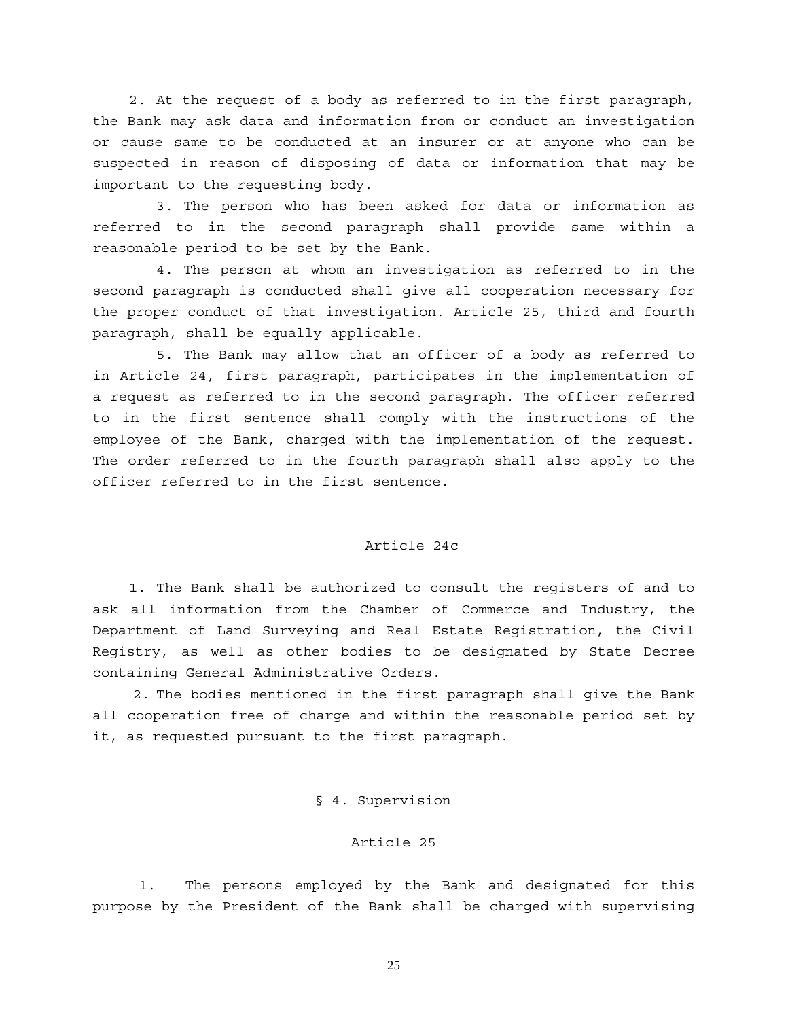2. At the request of a body as referred to in the first paragraph, the Bank may ask data and information from or conduct an investigation or cause same to be conducted at an insurer or at anyone who can be suspected in reason of disposing of data or information that may be important to the requesting body.

 3. The person who has been asked for data or information as referred to in the second paragraph shall provide same within a reasonable period to be set by the Bank.

 4. The person at whom an investigation as referred to in the second paragraph is conducted shall give all cooperation necessary for the proper conduct of that investigation. Article 25, third and fourth paragraph, shall be equally applicable.

 5. The Bank may allow that an officer of a body as referred to in Article 24, first paragraph, participates in the implementation of a request as referred to in the second paragraph. The officer referred to in the first sentence shall comply with the instructions of the employee of the Bank, charged with the implementation of the request. The order referred to in the fourth paragraph shall also apply to the officer referred to in the first sentence.

#### Article 24c

1. The Bank shall be authorized to consult the registers of and to ask all information from the Chamber of Commerce and Industry, the Department of Land Surveying and Real Estate Registration, the Civil Registry, as well as other bodies to be designated by State Decree containing General Administrative Orders.

 2. The bodies mentioned in the first paragraph shall give the Bank all cooperation free of charge and within the reasonable period set by it, as requested pursuant to the first paragraph.

### § 4. Supervision

### Article 25

 1. The persons employed by the Bank and designated for this purpose by the President of the Bank shall be charged with supervising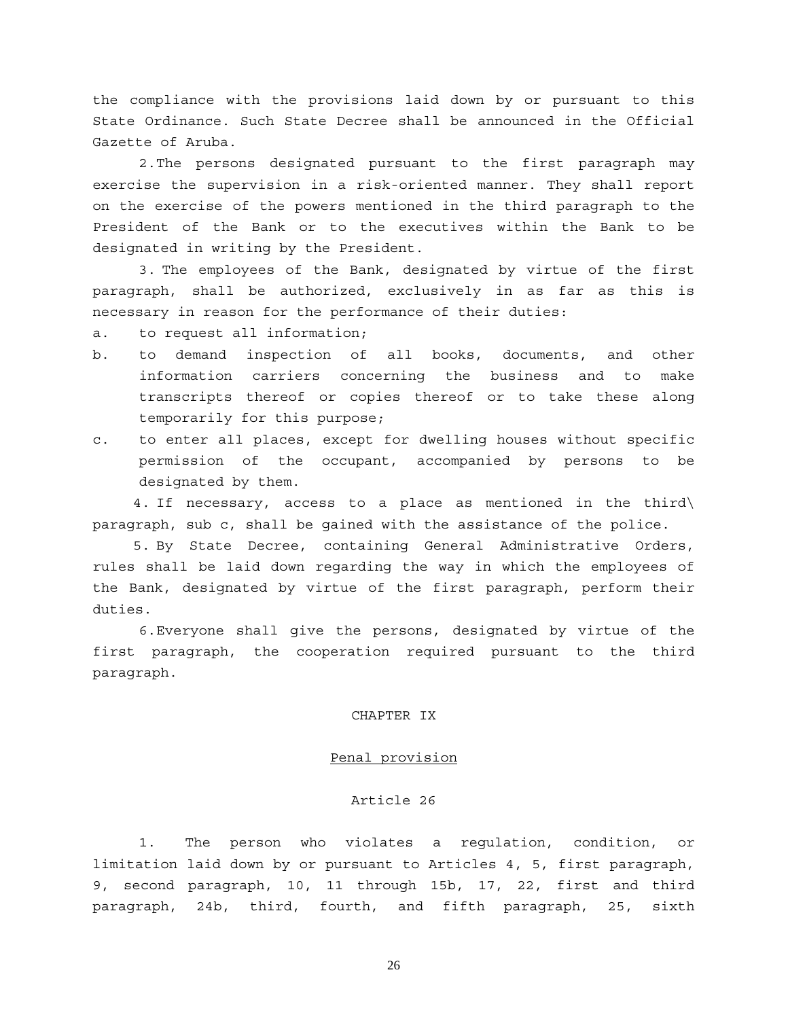the compliance with the provisions laid down by or pursuant to this State Ordinance. Such State Decree shall be announced in the Official Gazette of Aruba.

 2. The persons designated pursuant to the first paragraph may exercise the supervision in a risk-oriented manner. They shall report on the exercise of the powers mentioned in the third paragraph to the President of the Bank or to the executives within the Bank to be designated in writing by the President.

 3. The employees of the Bank, designated by virtue of the first paragraph, shall be authorized, exclusively in as far as this is necessary in reason for the performance of their duties:

a. to request all information;

- b. to demand inspection of all books, documents, and other information carriers concerning the business and to make transcripts thereof or copies thereof or to take these along temporarily for this purpose;
- c. to enter all places, except for dwelling houses without specific permission of the occupant, accompanied by persons to be designated by them.

 4. If necessary, access to a place as mentioned in the third\ paragraph, sub c, shall be gained with the assistance of the police.

 5. By State Decree, containing General Administrative Orders, rules shall be laid down regarding the way in which the employees of the Bank, designated by virtue of the first paragraph, perform their duties.

 6. Everyone shall give the persons, designated by virtue of the first paragraph, the cooperation required pursuant to the third paragraph.

### CHAPTER IX

#### Penal provision

#### Article 26

 1. The person who violates a regulation, condition, or limitation laid down by or pursuant to Articles 4, 5, first paragraph, 9, second paragraph, 10, 11 through 15b, 17, 22, first and third paragraph, 24b, third, fourth, and fifth paragraph, 25, sixth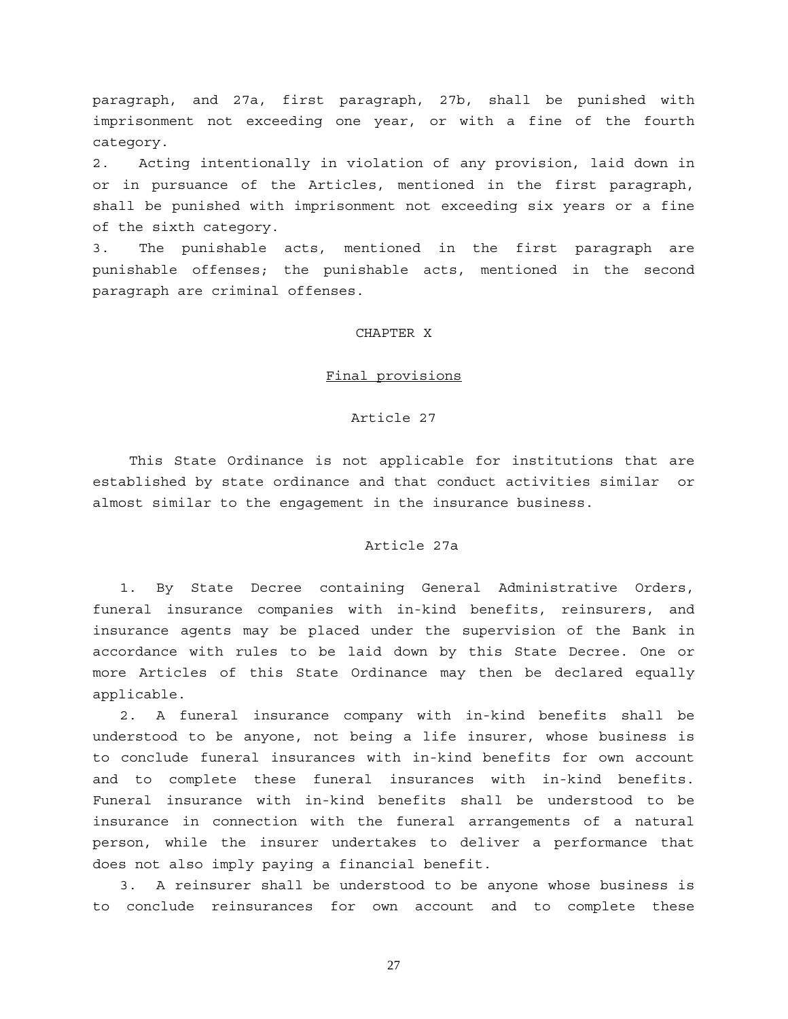paragraph, and 27a, first paragraph, 27b, shall be punished with imprisonment not exceeding one year, or with a fine of the fourth category.

2. Acting intentionally in violation of any provision, laid down in or in pursuance of the Articles, mentioned in the first paragraph, shall be punished with imprisonment not exceeding six years or a fine of the sixth category.

3. The punishable acts, mentioned in the first paragraph are punishable offenses; the punishable acts, mentioned in the second paragraph are criminal offenses.

#### CHAPTER X

#### Final provisions

#### Article 27

This State Ordinance is not applicable for institutions that are established by state ordinance and that conduct activities similar or almost similar to the engagement in the insurance business.

## Article 27a

 1. By State Decree containing General Administrative Orders, funeral insurance companies with in-kind benefits, reinsurers, and insurance agents may be placed under the supervision of the Bank in accordance with rules to be laid down by this State Decree. One or more Articles of this State Ordinance may then be declared equally applicable.

 2. A funeral insurance company with in-kind benefits shall be understood to be anyone, not being a life insurer, whose business is to conclude funeral insurances with in-kind benefits for own account and to complete these funeral insurances with in-kind benefits. Funeral insurance with in-kind benefits shall be understood to be insurance in connection with the funeral arrangements of a natural person, while the insurer undertakes to deliver a performance that does not also imply paying a financial benefit.

 3. A reinsurer shall be understood to be anyone whose business is to conclude reinsurances for own account and to complete these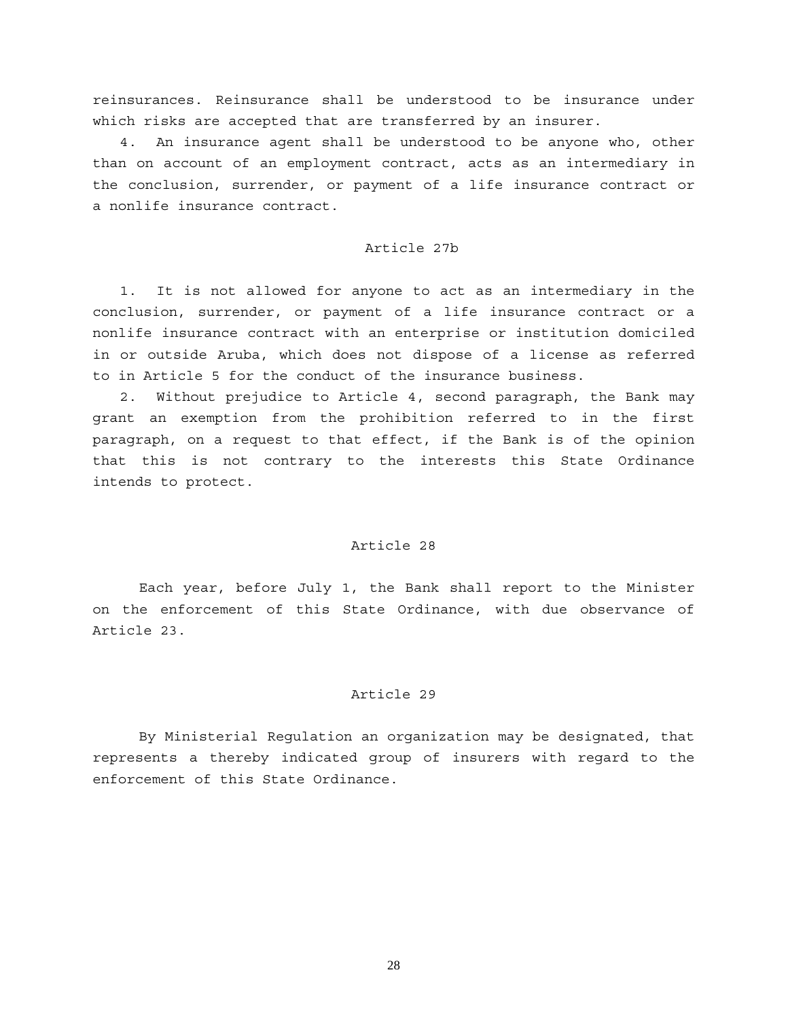reinsurances. Reinsurance shall be understood to be insurance under which risks are accepted that are transferred by an insurer.

 4. An insurance agent shall be understood to be anyone who, other than on account of an employment contract, acts as an intermediary in the conclusion, surrender, or payment of a life insurance contract or a nonlife insurance contract.

#### Article 27b

 1. It is not allowed for anyone to act as an intermediary in the conclusion, surrender, or payment of a life insurance contract or a nonlife insurance contract with an enterprise or institution domiciled in or outside Aruba, which does not dispose of a license as referred to in Article 5 for the conduct of the insurance business.

 2. Without prejudice to Article 4, second paragraph, the Bank may grant an exemption from the prohibition referred to in the first paragraph, on a request to that effect, if the Bank is of the opinion that this is not contrary to the interests this State Ordinance intends to protect.

#### Article 28

Each year, before July 1, the Bank shall report to the Minister on the enforcement of this State Ordinance, with due observance of Article 23.

#### Article 29

By Ministerial Regulation an organization may be designated, that represents a thereby indicated group of insurers with regard to the enforcement of this State Ordinance.